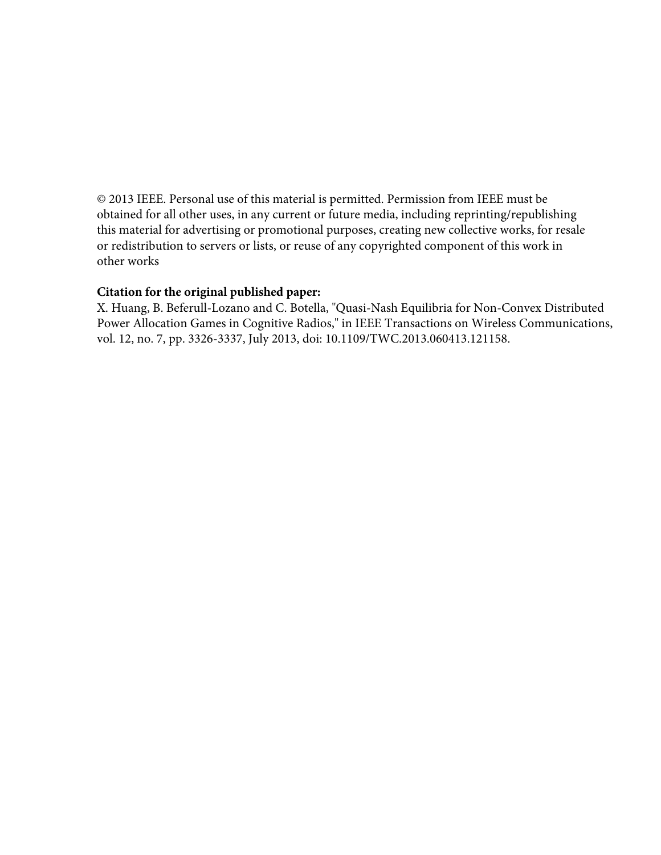© 2013 IEEE. Personal use of this material is permitted. Permission from IEEE must be obtained for all other uses, in any current or future media, including reprinting/republishing this material for advertising or promotional purposes, creating new collective works, for resale or redistribution to servers or lists, or reuse of any copyrighted component of this work in other works

# **Citation for the original published paper:**

X. Huang, B. Beferull-Lozano and C. Botella, "Quasi-Nash Equilibria for Non-Convex Distributed Power Allocation Games in Cognitive Radios," in IEEE Transactions on Wireless Communications, vol. 12, no. 7, pp. 3326-3337, July 2013, doi: 10.1109/TWC.2013.060413.121158.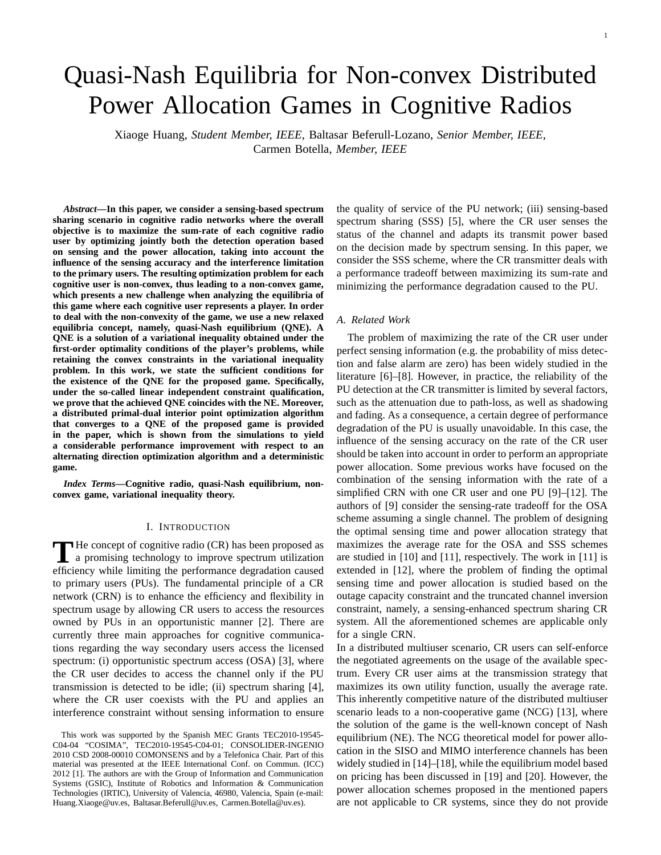# Quasi-Nash Equilibria for Non-convex Distributed Power Allocation Games in Cognitive Radios

Xiaoge Huang, *Student Member, IEEE,* Baltasar Beferull-Lozano, *Senior Member, IEEE,* Carmen Botella, *Member, IEEE*

*Abstract***—In this paper, we consider a sensing-based spectrum sharing scenario in cognitive radio networks where the overall objective is to maximize the sum-rate of each cognitive radio user by optimizing jointly both the detection operation based on sensing and the power allocation, taking into account the influence of the sensing accuracy and the interference limitation to the primary users. The resulting optimization problem for each cognitive user is non-convex, thus leading to a non-convex game, which presents a new challenge when analyzing the equilibria of this game where each cognitive user represents a player. In order to deal with the non-convexity of the game, we use a new relaxed equilibria concept, namely, quasi-Nash equilibrium (QNE). A QNE is a solution of a variational inequality obtained under the first-order optimality conditions of the player's problems, while retaining the convex constraints in the variational inequality problem. In this work, we state the sufficient conditions for the existence of the QNE for the proposed game. Specifically, under the so-called linear independent constraint qualification, we prove that the achieved QNE coincides with the NE. Moreover, a distributed primal-dual interior point optimization algorithm that converges to a QNE of the proposed game is provided in the paper, which is shown from the simulations to yield a considerable performance improvement with respect to an alternating direction optimization algorithm and a deterministic game.**

*Index Terms***—Cognitive radio, quasi-Nash equilibrium, nonconvex game, variational inequality theory.**

#### I. INTRODUCTION

The concept of cognitive radio (CR) has been proposed as<br>
a promising technology to improve spectrum utilization a promising technology to improve spectrum utilization efficiency while limiting the performance degradation caused to primary users (PUs). The fundamental principle of a CR network (CRN) is to enhance the efficiency and flexibility in spectrum usage by allowing CR users to access the resources owned by PUs in an opportunistic manner [2]. There are currently three main approaches for cognitive communications regarding the way secondary users access the licensed spectrum: (i) opportunistic spectrum access (OSA) [3], where the CR user decides to access the channel only if the PU transmission is detected to be idle; (ii) spectrum sharing [4], where the CR user coexists with the PU and applies an interference constraint without sensing information to ensure the quality of service of the PU network; (iii) sensing-based spectrum sharing (SSS) [5], where the CR user senses the status of the channel and adapts its transmit power based on the decision made by spectrum sensing. In this paper, we consider the SSS scheme, where the CR transmitter deals with a performance tradeoff between maximizing its sum-rate and minimizing the performance degradation caused to the PU.

### *A. Related Work*

The problem of maximizing the rate of the CR user under perfect sensing information (e.g. the probability of miss detection and false alarm are zero) has been widely studied in the literature [6]–[8]. However, in practice, the reliability of the PU detection at the CR transmitter is limited by several factors, such as the attenuation due to path-loss, as well as shadowing and fading. As a consequence, a certain degree of performance degradation of the PU is usually unavoidable. In this case, the influence of the sensing accuracy on the rate of the CR user should be taken into account in order to perform an appropriate power allocation. Some previous works have focused on the combination of the sensing information with the rate of a simplified CRN with one CR user and one PU [9]–[12]. The authors of [9] consider the sensing-rate tradeoff for the OSA scheme assuming a single channel. The problem of designing the optimal sensing time and power allocation strategy that maximizes the average rate for the OSA and SSS schemes are studied in [10] and [11], respectively. The work in [11] is extended in [12], where the problem of finding the optimal sensing time and power allocation is studied based on the outage capacity constraint and the truncated channel inversion constraint, namely, a sensing-enhanced spectrum sharing CR system. All the aforementioned schemes are applicable only for a single CRN.

In a distributed multiuser scenario, CR users can self-enforce the negotiated agreements on the usage of the available spectrum. Every CR user aims at the transmission strategy that maximizes its own utility function, usually the average rate. This inherently competitive nature of the distributed multiuser scenario leads to a non-cooperative game (NCG) [13], where the solution of the game is the well-known concept of Nash equilibrium (NE). The NCG theoretical model for power allocation in the SISO and MIMO interference channels has been widely studied in [14]–[18], while the equilibrium model based on pricing has been discussed in [19] and [20]. However, the power allocation schemes proposed in the mentioned papers are not applicable to CR systems, since they do not provide

This work was supported by the Spanish MEC Grants TEC2010-19545- C04-04 "COSIMA", TEC2010-19545-C04-01; CONSOLIDER-INGENIO 2010 CSD 2008-00010 COMONSENS and by a Telefonica Chair. Part of this material was presented at the IEEE International Conf. on Commun. (ICC) 2012 [1]. The authors are with the Group of Information and Communication Systems (GSIC), Institute of Robotics and Information & Communication Technologies (IRTIC), University of Valencia, 46980, Valencia, Spain (e-mail: Huang.Xiaoge@uv.es, Baltasar.Beferull@uv.es, Carmen.Botella@uv.es).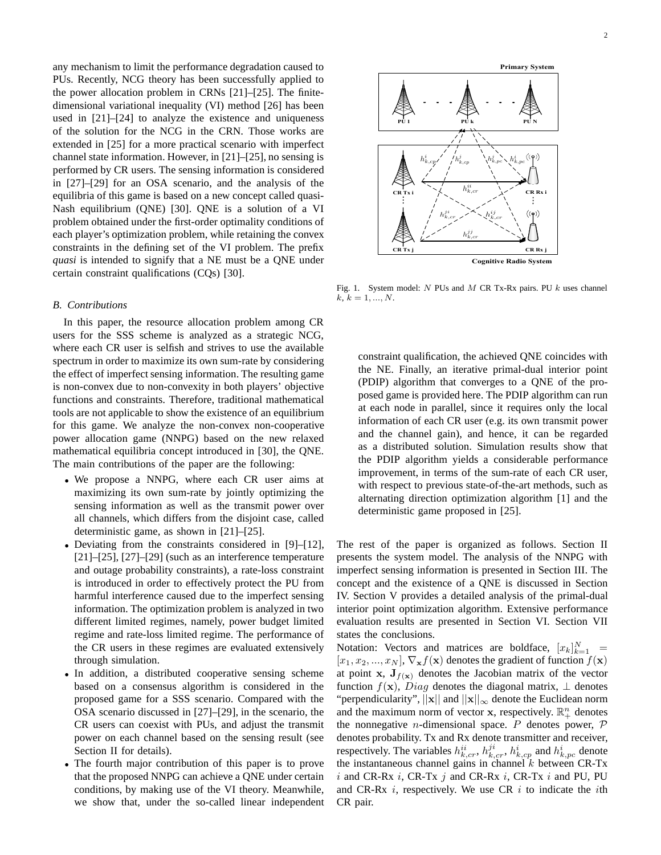any mechanism to limit the performance degradation caused to PUs. Recently, NCG theory has been successfully applied to the power allocation problem in CRNs [21]–[25]. The finitedimensional variational inequality (VI) method [26] has been used in [21]–[24] to analyze the existence and uniqueness of the solution for the NCG in the CRN. Those works are extended in [25] for a more practical scenario with imperfect channel state information. However, in [21]–[25], no sensing is performed by CR users. The sensing information is considered in [27]–[29] for an OSA scenario, and the analysis of the equilibria of this game is based on a new concept called quasi-Nash equilibrium (QNE) [30]. QNE is a solution of a VI problem obtained under the first-order optimality conditions of each player's optimization problem, while retaining the convex constraints in the defining set of the VI problem. The prefix *quasi* is intended to signify that a NE must be a QNE under certain constraint qualifications (CQs) [30].

# *B. Contributions*

In this paper, the resource allocation problem among CR users for the SSS scheme is analyzed as a strategic NCG, where each CR user is selfish and strives to use the available spectrum in order to maximize its own sum-rate by considering the effect of imperfect sensing information. The resulting game is non-convex due to non-convexity in both players' objective functions and constraints. Therefore, traditional mathematical tools are not applicable to show the existence of an equilibrium for this game. We analyze the non-convex non-cooperative power allocation game (NNPG) based on the new relaxed mathematical equilibria concept introduced in [30], the QNE. The main contributions of the paper are the following:

- We propose a NNPG, where each CR user aims at maximizing its own sum-rate by jointly optimizing the sensing information as well as the transmit power over all channels, which differs from the disjoint case, called deterministic game, as shown in [21]–[25].
- Deviating from the constraints considered in [9]–[12], [21]–[25], [27]–[29] (such as an interference temperature and outage probability constraints), a rate-loss constraint is introduced in order to effectively protect the PU from harmful interference caused due to the imperfect sensing information. The optimization problem is analyzed in two different limited regimes, namely, power budget limited regime and rate-loss limited regime. The performance of the CR users in these regimes are evaluated extensively through simulation.
- In addition, a distributed cooperative sensing scheme based on a consensus algorithm is considered in the proposed game for a SSS scenario. Compared with the OSA scenario discussed in [27]–[29], in the scenario, the CR users can coexist with PUs, and adjust the transmit power on each channel based on the sensing result (see Section II for details).
- The fourth major contribution of this paper is to prove that the proposed NNPG can achieve a QNE under certain conditions, by making use of the VI theory. Meanwhile, we show that, under the so-called linear independent



Fig. 1. System model:  $N$  PUs and  $M$  CR Tx-Rx pairs. PU  $k$  uses channel  $k, k = 1, ..., N.$ 

constraint qualification, the achieved QNE coincides with the NE. Finally, an iterative primal-dual interior point (PDIP) algorithm that converges to a QNE of the proposed game is provided here. The PDIP algorithm can run at each node in parallel, since it requires only the local information of each CR user (e.g. its own transmit power and the channel gain), and hence, it can be regarded as a distributed solution. Simulation results show that the PDIP algorithm yields a considerable performance improvement, in terms of the sum-rate of each CR user, with respect to previous state-of-the-art methods, such as alternating direction optimization algorithm [1] and the deterministic game proposed in [25].

The rest of the paper is organized as follows. Section II presents the system model. The analysis of the NNPG with imperfect sensing information is presented in Section III. The concept and the existence of a QNE is discussed in Section IV. Section V provides a detailed analysis of the primal-dual interior point optimization algorithm. Extensive performance evaluation results are presented in Section VI. Section VII states the conclusions.

Notation: Vectors and matrices are boldface,  $[x_k]_{k=1}^N$  =  $[x_1, x_2, ..., x_N], \nabla_{\mathbf{x}} f(\mathbf{x})$  denotes the gradient of function  $f(\mathbf{x})$ at point x,  $J_{f(x)}$  denotes the Jacobian matrix of the vector function  $f(\mathbf{x})$ , Diag denotes the diagonal matrix,  $\perp$  denotes "perpendicularity",  $||\mathbf{x}||$  and  $||\mathbf{x}||_{\infty}$  denote the Euclidean norm and the maximum norm of vector x, respectively.  $\mathbb{R}^n_+$  denotes the nonnegative *n*-dimensional space. P denotes power,  $P$ denotes probability. Tx and Rx denote transmitter and receiver, respectively. The variables  $h_{k,cr}^{ii}$ ,  $h_{k,cr}^{ji}$ ,  $h_{k,cp}^{i}$  and  $h_{k,pc}^{i}$  denote the instantaneous channel gains in channel  $k$  between CR-Tx i and CR-Rx i, CR-Tx j and CR-Rx i, CR-Tx i and PU, PU and CR-Rx  $i$ , respectively. We use CR  $i$  to indicate the *i*th CR pair.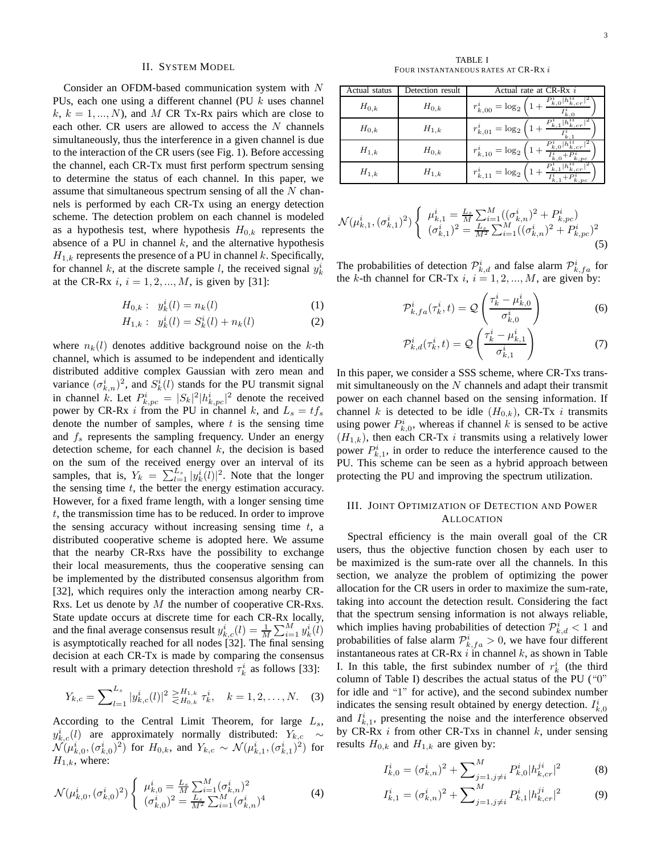#### II. SYSTEM MODEL

Consider an OFDM-based communication system with N PUs, each one using a different channel (PU k uses channel  $k, k = 1, ..., N$ , and M CR Tx-Rx pairs which are close to each other. CR users are allowed to access the  $N$  channels simultaneously, thus the interference in a given channel is due to the interaction of the CR users (see Fig. 1). Before accessing the channel, each CR-Tx must first perform spectrum sensing to determine the status of each channel. In this paper, we assume that simultaneous spectrum sensing of all the  $N$  channels is performed by each CR-Tx using an energy detection scheme. The detection problem on each channel is modeled as a hypothesis test, where hypothesis  $H_{0,k}$  represents the absence of a PU in channel  $k$ , and the alternative hypothesis  $H_{1,k}$  represents the presence of a PU in channel k. Specifically, for channel k, at the discrete sample l, the received signal  $y_k^i$ at the CR-Rx  $i, i = 1, 2, ..., M$ , is given by [31]:

$$
H_{0,k}: y_k^i(l) = n_k(l)
$$
 (1)

$$
H_{1,k}: \quad y_k^i(l) = S_k^i(l) + n_k(l) \tag{2}
$$

where  $n_k(l)$  denotes additive background noise on the k-th channel, which is assumed to be independent and identically distributed additive complex Gaussian with zero mean and variance  $(\sigma_{k,n}^i)^2$ , and  $S_k^i(l)$  stands for the PU transmit signal in channel k. Let  $P_{k,pc}^i = |S_k|^2 |h_{k,pc}^i|^2$  denote the received power by CR-Rx *i* from the PU in channel k, and  $L_s = tf_s$ denote the number of samples, where  $t$  is the sensing time and  $f_s$  represents the sampling frequency. Under an energy detection scheme, for each channel  $k$ , the decision is based on the sum of the received energy over an interval of its samples, that is,  $Y_k = \sum_{l=1}^{L_s} |y_k^i(l)|^2$ . Note that the longer the sensing time  $t$ , the better the energy estimation accuracy. However, for a fixed frame length, with a longer sensing time t, the transmission time has to be reduced. In order to improve the sensing accuracy without increasing sensing time  $t$ , a distributed cooperative scheme is adopted here. We assume that the nearby CR-Rxs have the possibility to exchange their local measurements, thus the cooperative sensing can be implemented by the distributed consensus algorithm from [32], which requires only the interaction among nearby CR-Rxs. Let us denote by  $M$  the number of cooperative CR-Rxs. State update occurs at discrete time for each CR-Rx locally, and the final average consensus result  $y_{k,c}^i(l) = \frac{1}{M} \sum_{i=1}^M y_k^i(l)$ is asymptotically reached for all nodes [32]. The final sensing decision at each CR-Tx is made by comparing the consensus result with a primary detection threshold  $\tau_k^i$  as follows [33]:

$$
Y_{k,c} = \sum_{l=1}^{L_s} |y_{k,c}^i(l)|^2 \geq H_{0,k}^{H_{1,k}} \tau_k^i, \quad k = 1, 2, \dots, N. \tag{3}
$$

According to the Central Limit Theorem, for large  $L_s$ ,  $y_{k,c}^i(l)$  are approximately normally distributed:  $Y_{k,c} \sim$  $\mathcal{N}(\mu^i_{k,0}, (\sigma^i_{k,0})^2)$  for  $H_{0,k}$ , and  $Y_{k,c} \sim \mathcal{N}(\mu^i_{k,1}, (\sigma^i_{k,1})^2)$  for  $H_{1,k}$ , where:

$$
\mathcal{N}(\mu_{k,0}^i, (\sigma_{k,0}^i)^2) \begin{cases} \mu_{k,0}^i = \frac{L_s}{M} \sum_{i=1}^M (\sigma_{k,n}^i)^2\\ (\sigma_{k,0}^i)^2 = \frac{L_s}{M^2} \sum_{i=1}^M (\sigma_{k,n}^i)^4 \end{cases}
$$
(4)

TABLE I FOUR INSTANTANEOUS RATES AT  $\mathbf{CR}\text{-}\mathbf{R}\mathbf{X}\mathbf{\textit{i}}$ 

| Actual status | Detection result | Actual rate at CR-Rx i                                                                                |
|---------------|------------------|-------------------------------------------------------------------------------------------------------|
| $H_{0,k}$     | $H_{0,k}$        | $P_{k,0}^i h_{k,cr}^{ii} $<br>$r_{k,00}^i = \log_2$                                                   |
| $H_{0,k}$     | $H_{1,k}$        | $P_{k,1}^i h_{k,cr}^{ii} $<br>$r_{k,01}^i = \log_2  $                                                 |
| $H_{1,k}$     | $H_{0,k}$        | $P_{k,0}^i h_{k,cr}^{ii} $<br>$r_{k,10}^i = \log_2  $<br>$+ \frac{I_{k,0}^i + P_{k,pc}^i}{I_{k,0}^i}$ |
| $H_{1,k}$     | $H_{1,k}$        | $P_{k,1}^i h_{k,cr}^{\ldots} $<br>$r_{k,11}^i = \log_2 ($                                             |

$$
\mathcal{N}(\mu_{k,1}^i, (\sigma_{k,1}^i)^2) \left\{ \begin{array}{l} \mu_{k,1}^i = \frac{L_s}{M} \sum_{i=1}^M ((\sigma_{k,n}^i)^2 + P_{k,pc}^i) \\ (\sigma_{k,1}^i)^2 = \frac{L_s}{M^2} \sum_{i=1}^M ((\sigma_{k,n}^i)^2 + P_{k,pc}^i)^2 \end{array} \right\}
$$
(5)

The probabilities of detection  $\mathcal{P}_{k,d}^i$  and false alarm  $\mathcal{P}_{k,fa}^i$  for the k-th channel for CR-Tx i,  $i = 1, 2, ..., M$ , are given by:

$$
\mathcal{P}_{k,fa}^i(\tau_k^i, t) = \mathcal{Q}\left(\frac{\tau_k^i - \mu_{k,0}^i}{\sigma_{k,0}^i}\right) \tag{6}
$$

$$
\mathcal{P}_{k,d}^i(\tau_k^i, t) = \mathcal{Q}\left(\frac{\tau_k^i - \mu_{k,1}^i}{\sigma_{k,1}^i}\right) \tag{7}
$$

In this paper, we consider a SSS scheme, where CR-Txs transmit simultaneously on the  $N$  channels and adapt their transmit power on each channel based on the sensing information. If channel k is detected to be idle  $(H_{0,k})$ , CR-Tx i transmits using power  $P_{k,0}^i$ , whereas if channel k is sensed to be active  $(H_{1,k})$ , then each CR-Tx *i* transmits using a relatively lower power  $P_{k,1}^i$ , in order to reduce the interference caused to the PU. This scheme can be seen as a hybrid approach between protecting the PU and improving the spectrum utilization.

# III. JOINT OPTIMIZATION OF DETECTION AND POWER ALLOCATION

Spectral efficiency is the main overall goal of the CR users, thus the objective function chosen by each user to be maximized is the sum-rate over all the channels. In this section, we analyze the problem of optimizing the power allocation for the CR users in order to maximize the sum-rate, taking into account the detection result. Considering the fact that the spectrum sensing information is not always reliable, which implies having probabilities of detection  $\mathcal{P}_{k,d}^i < 1$  and probabilities of false alarm  $\mathcal{P}^i_{k,fa} > 0$ , we have four different instantaneous rates at CR-Rx  $i$  in channel  $k$ , as shown in Table I. In this table, the first subindex number of  $r_k^i$  (the third column of Table I) describes the actual status of the PU ("0" for idle and "1" for active), and the second subindex number indicates the sensing result obtained by energy detection.  $I_{k,0}^i$ and  $I_{k,1}^i$ , presenting the noise and the interference observed by CR-Rx  $i$  from other CR-Txs in channel  $k$ , under sensing results  $H_{0,k}$  and  $H_{1,k}$  are given by:

$$
I_{k,0}^i = (\sigma_{k,n}^i)^2 + \sum_{j=1, j \neq i}^{M} P_{k,0}^i |h_{k,cr}^{ji}|^2
$$
 (8)

$$
I_{k,1}^i = (\sigma_{k,n}^i)^2 + \sum_{j=1, j \neq i}^M P_{k,1}^i |h_{k,cr}^{ji}|^2
$$
 (9)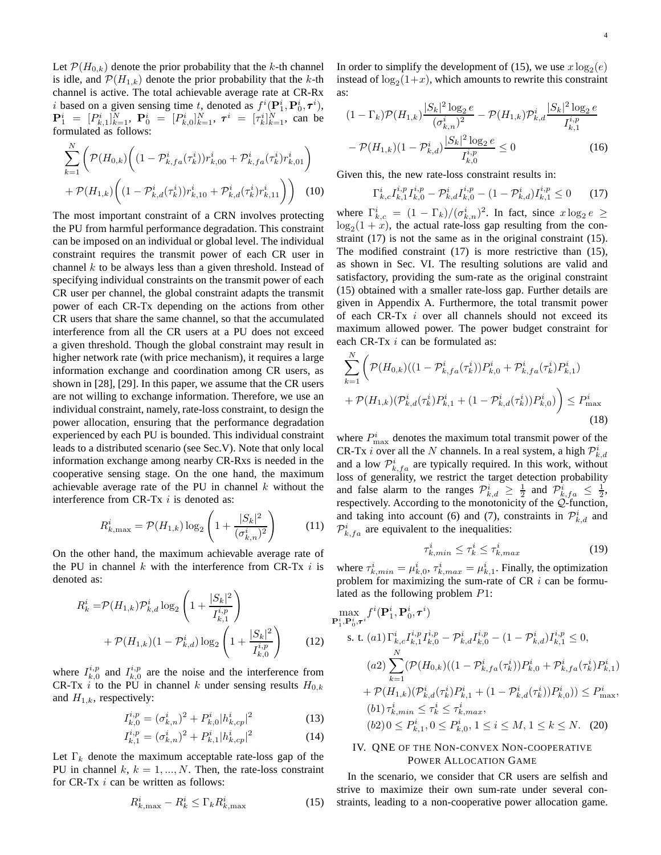Let  $\mathcal{P}(H_{0,k})$  denote the prior probability that the k-th channel is idle, and  $\mathcal{P}(H_{1,k})$  denote the prior probability that the k-th channel is active. The total achievable average rate at CR-Rx *i* based on a given sensing time *t*, denoted as  $f^{i}(\mathbf{P}_1^i, \mathbf{P}_0^i, \tau^i)$ ,  ${\bf P}^i_1 = [P^i_{k,1}]_{k=1}^N$ ,  ${\bf P}^i_0 = [P^i_{k,0}]_{k=1}^N$ ,  $\tau^i = [\tau^i_k]_{k=1}^N$ , can be formulated as follows:

$$
\sum_{k=1}^{N} \left( \mathcal{P}(H_{0,k}) \bigg( (1 - \mathcal{P}_{k,fa}^i(\tau_k^i)) r_{k,00}^i + \mathcal{P}_{k,fa}^i(\tau_k^i) r_{k,01}^i \bigg) + \mathcal{P}(H_{1,k}) \bigg( (1 - \mathcal{P}_{k,d}^i(\tau_k^i)) r_{k,10}^i + \mathcal{P}_{k,d}^i(\tau_k^i) r_{k,11}^i \bigg) \right) \tag{10}
$$

The most important constraint of a CRN involves protecting the PU from harmful performance degradation. This constraint can be imposed on an individual or global level. The individual constraint requires the transmit power of each CR user in channel  $k$  to be always less than a given threshold. Instead of specifying individual constraints on the transmit power of each CR user per channel, the global constraint adapts the transmit power of each CR-Tx depending on the actions from other CR users that share the same channel, so that the accumulated interference from all the CR users at a PU does not exceed a given threshold. Though the global constraint may result in higher network rate (with price mechanism), it requires a large information exchange and coordination among CR users, as shown in [28], [29]. In this paper, we assume that the CR users are not willing to exchange information. Therefore, we use an individual constraint, namely, rate-loss constraint, to design the power allocation, ensuring that the performance degradation experienced by each PU is bounded. This individual constraint leads to a distributed scenario (see Sec.V). Note that only local information exchange among nearby CR-Rxs is needed in the cooperative sensing stage. On the one hand, the maximum achievable average rate of the PU in channel  $k$  without the interference from  $CR-Tx$  *i* is denoted as:

$$
R_{k,\max}^i = \mathcal{P}(H_{1,k}) \log_2 \left( 1 + \frac{|S_k|^2}{(\sigma_{k,n}^i)^2} \right) \tag{11}
$$

On the other hand, the maximum achievable average rate of the PU in channel  $k$  with the interference from CR-Tx  $i$  is denoted as:

$$
R_k^i = \mathcal{P}(H_{1,k}) \mathcal{P}_{k,d}^i \log_2 \left( 1 + \frac{|S_k|^2}{I_{k,1}^{i,p}} \right) + \mathcal{P}(H_{1,k}) (1 - \mathcal{P}_{k,d}^i) \log_2 \left( 1 + \frac{|S_k|^2}{I_{k,0}^{i,p}} \right) \tag{12}
$$

where  $I_{k,0}^{i,p}$  and  $I_{k,0}^{i,p}$  are the noise and the interference from CR-Tx i to the PU in channel k under sensing results  $H_{0,k}$ and  $H_{1,k}$ , respectively:

$$
I_{k,0}^{i,p} = (\sigma_{k,n}^i)^2 + P_{k,0}^i |h_{k,cp}^i|^2
$$
 (13)

P<sup>i</sup>

$$
I_{k,1}^{i,p} = (\sigma_{k,n}^i)^2 + P_{k,1}^i |h_{k,cp}^i|^2
$$
 (14)

Let  $\Gamma_k$  denote the maximum acceptable rate-loss gap of the PU in channel  $k, k = 1, ..., N$ . Then, the rate-loss constraint for CR-Tx  $i$  can be written as follows:

$$
R_{k,\max}^i - R_k^i \le \Gamma_k R_{k,\max}^i \tag{15}
$$

In order to simplify the development of (15), we use  $x \log_2(e)$ instead of  $log_2(1+x)$ , which amounts to rewrite this constraint as:

$$
(1 - \Gamma_k) \mathcal{P}(H_{1,k}) \frac{|S_k|^2 \log_2 e}{(\sigma_{k,n}^i)^2} - \mathcal{P}(H_{1,k}) \mathcal{P}_{k,d}^i \frac{|S_k|^2 \log_2 e}{I_{k,1}^{i,p}}
$$

$$
- \mathcal{P}(H_{1,k})(1 - \mathcal{P}_{k,d}^i) \frac{|S_k|^2 \log_2 e}{I_{k,0}^{i,p}} \le 0
$$
(16)

Given this, the new rate-loss constraint results in:

$$
\Gamma_{k,c}^{i} I_{k,1}^{i,p} I_{k,0}^{i,p} - \mathcal{P}_{k,d}^{i} I_{k,0}^{i,p} - (1 - \mathcal{P}_{k,d}^{i}) I_{k,1}^{i,p} \le 0 \tag{17}
$$

where  $\Gamma_{k,c}^i = (1 - \Gamma_k)/(\sigma_{k,n}^i)^2$ . In fact, since  $x \log_2 e \ge$  $log_2(1+x)$ , the actual rate-loss gap resulting from the constraint (17) is not the same as in the original constraint (15). The modified constraint (17) is more restrictive than (15), as shown in Sec. VI. The resulting solutions are valid and satisfactory, providing the sum-rate as the original constraint (15) obtained with a smaller rate-loss gap. Further details are given in Appendix A. Furthermore, the total transmit power of each CR-Tx i over all channels should not exceed its maximum allowed power. The power budget constraint for each CR-Tx  $i$  can be formulated as:

$$
\sum_{k=1}^{N} \left( \mathcal{P}(H_{0,k})((1-\mathcal{P}_{k,fa}^{i}(\tau_{k}^{i}))P_{k,0}^{i} + \mathcal{P}_{k,fa}^{i}(\tau_{k}^{i})P_{k,1}^{i}) + \mathcal{P}(H_{1,k})(\mathcal{P}_{k,d}^{i}(\tau_{k}^{i})P_{k,1}^{i} + (1-\mathcal{P}_{k,d}^{i}(\tau_{k}^{i}))P_{k,0}^{i}) \right) \le P_{\max}^{i}
$$
\n(18)

where  $P_{\text{max}}^i$  denotes the maximum total transmit power of the CR-Tx *i* over all the N channels. In a real system, a high  $\mathcal{P}_{k,d}^i$ and a low  $\mathcal{P}_{k,fa}^{i}$  are typically required. In this work, without loss of generality, we restrict the target detection probability and false alarm to the ranges  $\mathcal{P}_{k,d}^i \geq \frac{1}{2}$  and  $\mathcal{P}_{k,fa}^i \leq \frac{1}{2}$ , respectively. According to the monotonicity of the Q-function, and taking into account (6) and (7), constraints in  $\mathcal{P}_{k,d}^i$  and  $\mathcal{P}_{k,fa}^{i}$  are equivalent to the inequalities:

$$
\tau_{k,min}^i \le \tau_k^i \le \tau_{k,max}^i \tag{19}
$$

where  $\tau_{k,min}^i = \mu_{k,0}^i$ ,  $\tau_{k,max}^i = \mu_{k,1}^i$ . Finally, the optimization problem for maximizing the sum-rate of CR  $i$  can be formulated as the following problem P1:

$$
\max_{i_1, P_0^i, \tau^i} f^i(\mathbf{P}_1^i, \mathbf{P}_0^i, \tau^i)
$$
\ns. t. (a1)  $\Gamma_{k,c}^i I_{k,1}^{i,p} I_{k,0}^{i,p} - \mathcal{P}_{k,d}^i I_{k,0}^{i,p} - (1 - \mathcal{P}_{k,d}^i) I_{k,1}^{i,p} \le 0$ ,  
\n(a2)  $\sum_{k=1}^N (\mathcal{P}(H_{0,k})((1 - \mathcal{P}_{k,fa}^i(\tau_k^i))P_{k,0}^i + \mathcal{P}_{k,fa}^i(\tau_k^i)P_{k,1}^i)$   
\n $+ \mathcal{P}(H_{1,k})(\mathcal{P}_{k,d}^i(\tau_k^i)P_{k,1}^i + (1 - \mathcal{P}_{k,d}^i(\tau_k^i))P_{k,0}^i) \le P_{\max}^i$ ,  
\n(b1)  $\tau_{k,min}^i \le \tau_k^i \le \tau_{k,max}^i$ ,  
\n(b2)  $0 \le P_{k,1}^i, 0 \le P_{k,0}^i, 1 \le i \le M, 1 \le k \le N$ . (20)

# IV. QNE OF THE NON-CONVEX NON-COOPERATIVE POWER ALLOCATION GAME

In the scenario, we consider that CR users are selfish and strive to maximize their own sum-rate under several constraints, leading to a non-cooperative power allocation game.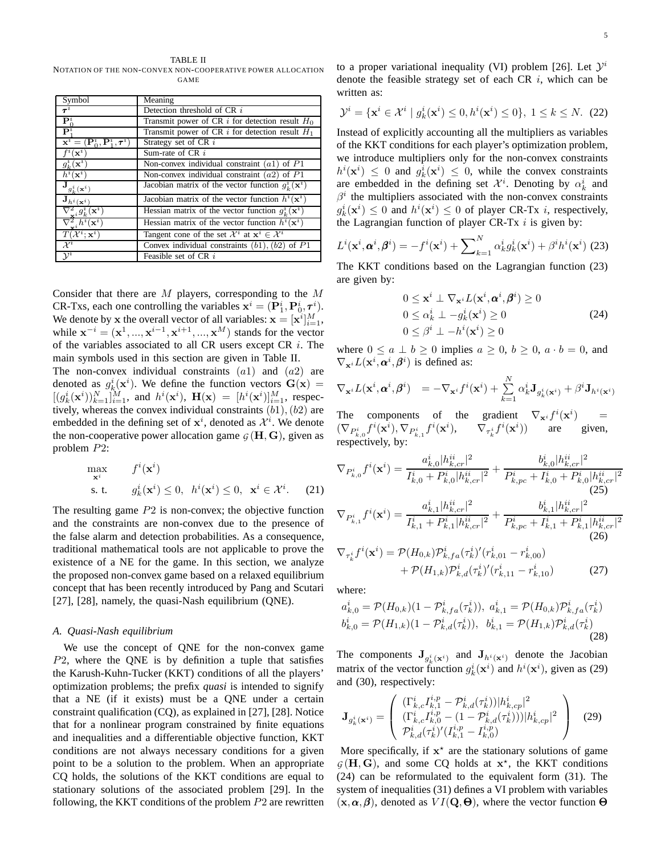TABLE II NOTATION OF THE NON-CONVEX NON-COOPERATIVE POWER ALLOCATION GAME

| Symbol                                                                            | Meaning                                                                     |
|-----------------------------------------------------------------------------------|-----------------------------------------------------------------------------|
|                                                                                   | Detection threshold of $CR$ i                                               |
| $\mathbf{P}_0^i$                                                                  | Transmit power of CR i for detection result $H_0$                           |
| $\mathbf{P}^i$                                                                    | Transmit power of CR i for detection result $H_1$                           |
| $\overline{\mathbf{x}^i} = (\mathbf{P}_0^i, \mathbf{P}_1^i, \boldsymbol{\tau}^i)$ | Strategy set of CR i                                                        |
| $f^i(\mathbf{x}^i)$                                                               | Sum-rate of $CR$ i                                                          |
| $g_k^i(\mathbf{x}^i)$                                                             | Non-convex individual constraint $(a1)$ of P1                               |
| $h^{i}(\mathbf{x}^{i})$                                                           | Non-convex individual constraint $(a2)$ of $P1$                             |
| $\mathbf{J}_{g_k^i(\mathbf{x}^i)}$                                                | Jacobian matrix of the vector function $g_k^i(\mathbf{x}^i)$                |
| $\mathbf{J}_{h^i(\mathbf{x}^i)}$                                                  | Jacobian matrix of the vector function $h^i(\mathbf{x}^i)$                  |
| $\vee_{\mathbf{x}^i}^z g_k^i(\mathbf{x}^i)$                                       | Hessian matrix of the vector function $g_k^i(\mathbf{x}^i)$                 |
| $\frac{2}{n}h^i(\mathbf{x}^i)$                                                    | Hessian matrix of the vector function $h^{i}(\mathbf{x}^{i})$               |
| $T(\overline{\mathcal{X}^{i}}; \mathbf{x}^{i})$                                   | Tangent cone of the set $\mathcal{X}^i$ at $\mathbf{x}^i \in \mathcal{X}^i$ |
| $\overline{\mathcal{X}^i}$                                                        | Convex individual constraints $(b1)$ , $(b2)$ of P1                         |
| $\mathcal{V}^i$                                                                   | Feasible set of CR i                                                        |

Consider that there are M players, corresponding to the M CR-Txs, each one controlling the variables  $\mathbf{x}^i = (\mathbf{P}_1^i, \mathbf{P}_0^i, \tau^i)$ . We denote by **x** the overall vector of all variables:  $\mathbf{x} = [\mathbf{x}^i]_{i=1}^M$ , while  $\mathbf{x}^{-i} = (\mathbf{x}^1, ..., \mathbf{x}^{i-1}, \mathbf{x}^{i+1}, ..., \mathbf{x}^M)$  stands for the vector of the variables associated to all CR users except CR  $i$ . The main symbols used in this section are given in Table II.

The non-convex individual constraints  $(a1)$  and  $(a2)$  are denoted as  $g_k^i(\mathbf{x}^i)$ . We define the function vectors  $\mathbf{G}(\mathbf{x}) =$  $[(g_k^i(\mathbf{x}^i))_{k=1}^N]_{i=1}^M$ , and  $h^i(\mathbf{x}^i)$ ,  $\mathbf{H}(\mathbf{x}) = [h^i(\mathbf{x}^i)]_{i=1}^M$ , respectively, whereas the convex individual constraints  $(b1)$ ,  $(b2)$  are embedded in the defining set of  $x^i$ , denoted as  $\mathcal{X}^i$ . We denote the non-cooperative power allocation game  $G(H, G)$ , given as problem P2:

$$
\max_{\mathbf{x}^i} \qquad f^i(\mathbf{x}^i) \ns.t. \qquad g^i_k(\mathbf{x}^i) \le 0, \ \ h^i(\mathbf{x}^i) \le 0, \ \ \mathbf{x}^i \in \mathcal{X}^i. \tag{21}
$$

The resulting game  $P2$  is non-convex; the objective function and the constraints are non-convex due to the presence of the false alarm and detection probabilities. As a consequence, traditional mathematical tools are not applicable to prove the existence of a NE for the game. In this section, we analyze the proposed non-convex game based on a relaxed equilibrium concept that has been recently introduced by Pang and Scutari [27], [28], namely, the quasi-Nash equilibrium (QNE).

### *A. Quasi-Nash equilibrium*

We use the concept of QNE for the non-convex game P2, where the QNE is by definition a tuple that satisfies the Karush-Kuhn-Tucker (KKT) conditions of all the players' optimization problems; the prefix *quasi* is intended to signify that a NE (if it exists) must be a QNE under a certain constraint qualification (CQ), as explained in [27], [28]. Notice that for a nonlinear program constrained by finite equations and inequalities and a differentiable objective function, KKT conditions are not always necessary conditions for a given point to be a solution to the problem. When an appropriate CQ holds, the solutions of the KKT conditions are equal to stationary solutions of the associated problem [29]. In the following, the KKT conditions of the problem  $P2$  are rewritten

$$
\mathcal{Y}^{i} = \{ \mathbf{x}^{i} \in \mathcal{X}^{i} \mid g_{k}^{i}(\mathbf{x}^{i}) \le 0, h^{i}(\mathbf{x}^{i}) \le 0 \}, 1 \le k \le N. \tag{22}
$$

Instead of explicitly accounting all the multipliers as variables of the KKT conditions for each player's optimization problem, we introduce multipliers only for the non-convex constraints  $h^{i}(\mathbf{x}^{i}) \leq 0$  and  $g^{i}_{k}(\mathbf{x}^{i}) \leq 0$ , while the convex constraints are embedded in the defining set  $\mathcal{X}^i$ . Denoting by  $\alpha_k^i$  and  $\beta^{i}$  the multipliers associated with the non-convex constraints  $g_k^i(\mathbf{x}^i) \leq 0$  and  $h^i(\mathbf{x}^i) \leq 0$  of player CR-Tx *i*, respectively, the Lagrangian function of player CR-Tx  $i$  is given by:

$$
L^{i}(\mathbf{x}^{i}, \boldsymbol{\alpha}^{i}, \boldsymbol{\beta}^{i}) = -f^{i}(\mathbf{x}^{i}) + \sum_{k=1}^{N} \alpha_{k}^{i} g_{k}^{i}(\mathbf{x}^{i}) + \beta^{i} h^{i}(\mathbf{x}^{i})
$$
(23)

The KKT conditions based on the Lagrangian function (23) are given by:

$$
0 \leq \mathbf{x}^{i} \perp \nabla_{\mathbf{x}^{i}} L(\mathbf{x}^{i}, \boldsymbol{\alpha}^{i}, \boldsymbol{\beta}^{i}) \geq 0
$$
  
\n
$$
0 \leq \alpha_{k}^{i} \perp -g_{k}^{i}(\mathbf{x}^{i}) \geq 0
$$
  
\n
$$
0 \leq \beta^{i} \perp -h^{i}(\mathbf{x}^{i}) \geq 0
$$
\n(24)

where  $0 \le a \perp b \ge 0$  implies  $a \ge 0$ ,  $b \ge 0$ ,  $a \cdot b = 0$ , and  $\nabla_{\mathbf{x}^i} L(\mathbf{x}^i, \boldsymbol{\alpha}^i, \boldsymbol{\beta}^i)$  is defined as:

$$
\nabla_{\mathbf{x}^i} L(\mathbf{x}^i, \boldsymbol{\alpha}^i, \boldsymbol{\beta}^i) = -\nabla_{\mathbf{x}^i} f^i(\mathbf{x}^i) + \sum_{k=1}^N \alpha_k^i \mathbf{J}_{g_k^i(\mathbf{x}^i)} + \beta^i \mathbf{J}_{h^i(\mathbf{x}^i)}
$$

The components of the gradient  $\nabla_{\mathbf{x}^i} f^i(\mathbf{x}^i)$  =  $(\nabla_{P_{k,0}^i}f^i(\mathbf{x}^i), \nabla_{P_{k,1}^i}f^i(\mathbf{x}^i))$ ),  $\nabla_{\tau^i_k} f^i(\mathbf{x}^i)$  are given, respectively, by:

$$
\nabla_{P_{k,0}^i} f^i(\mathbf{x}^i) = \frac{a_{k,0}^i |h_{k,cr}^{ii}|^2}{I_{k,0}^i + P_{k,0}^i |h_{k,cr}^{ii}|^2} + \frac{b_{k,0}^i |h_{k,cr}^{ii}|^2}{P_{k,pc}^i + I_{k,0}^i + P_{k,0}^i |h_{k,cr}^{ii}|^2}
$$
\n
$$
\nabla_{P_{k,1}^i} f^i(\mathbf{x}^i) = \frac{a_{k,1}^i |h_{k,cr}^{ii}|^2}{I_{k,1}^i + P_{k,1}^i |h_{k,cr}^{ii}|^2} + \frac{b_{k,1}^i |h_{k,cr}^{ii}|^2}{P_{k,pc}^i + I_{k,1}^i + P_{k,1}^i |h_{k,cr}^{ii}|^2}
$$
\n
$$
(26)
$$

$$
\nabla_{\tau_k^i} f^i(\mathbf{x}^i) = \mathcal{P}(H_{0,k}) \mathcal{P}_{k,fa}^i(\tau_k^i)' (r_{k,01}^i - r_{k,00}^i)
$$
  
+  $\mathcal{P}(H_{1,k}) \mathcal{P}_{k,d}^i(\tau_k^i)' (r_{k,11}^i - r_{k,10}^i)$  (27)

where:

$$
a_{k,0}^i = \mathcal{P}(H_{0,k})(1 - \mathcal{P}_{k,fa}^i(\tau_k^i)), \ a_{k,1}^i = \mathcal{P}(H_{0,k})\mathcal{P}_{k,fa}^i(\tau_k^i)
$$
  
\n
$$
b_{k,0}^i = \mathcal{P}(H_{1,k})(1 - \mathcal{P}_{k,d}^i(\tau_k^i)), \ b_{k,1}^i = \mathcal{P}(H_{1,k})\mathcal{P}_{k,d}^i(\tau_k^i)
$$
\n(28)

The components  $J_{g_k^i(x^i)}$  and  $J_{h^i(x^i)}$  denote the Jacobian matrix of the vector function  $g_k^i(\mathbf{x}^i)$  and  $h^i(\mathbf{x}^i)$ , given as (29) and (30), respectively:

$$
\mathbf{J}_{g_k^i(\mathbf{x}^i)} = \begin{pmatrix} (\Gamma^i_{k,c} I^{i,p}_{k,1} - \mathcal{P}^i_{k,d}(\tau^i_k)) |h^i_{k,cp}|^2 \\ (\Gamma^i_{k,c} I^{i,p}_{k,0} - (1 - \mathcal{P}^i_{k,d}(\tau^i_k)) |h^i_{k,cp}|^2 \\ \mathcal{P}^i_{k,d}(\tau^i_k)' (I^{i,p}_{k,1} - I^{i,p}_{k,0}) \end{pmatrix} \tag{29}
$$

More specifically, if  $x^*$  are the stationary solutions of game  $G(H, G)$ , and some CQ holds at  $x^*$ , the KKT conditions (24) can be reformulated to the equivalent form (31). The system of inequalities (31) defines a VI problem with variables  $(x, \alpha, \beta)$ , denoted as  $VI(Q, \Theta)$ , where the vector function  $\Theta$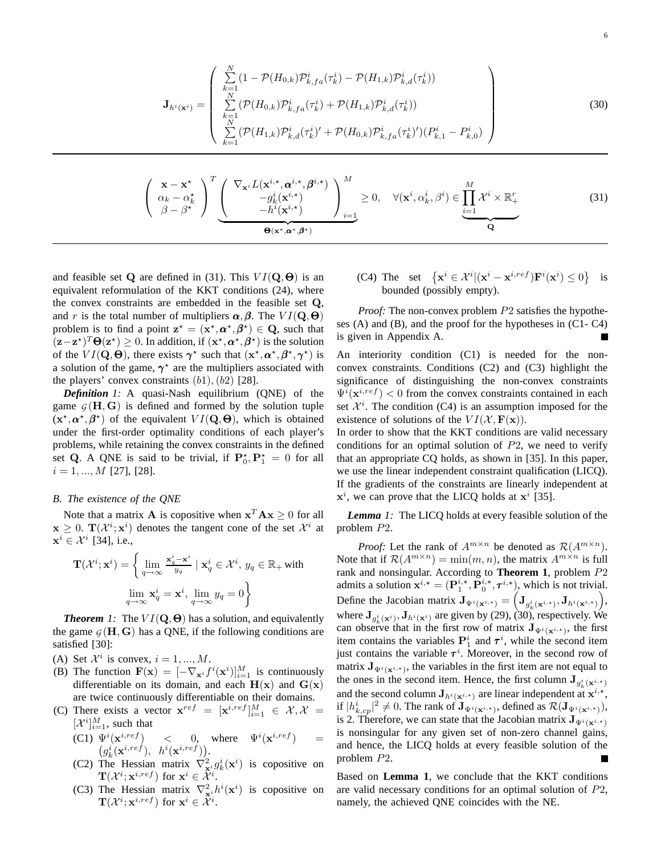$$
\mathbf{J}_{h^{i}(\mathbf{x}^{i})} = \begin{pmatrix} \sum_{k=1}^{N} (1 - \mathcal{P}(H_{0,k}) \mathcal{P}_{k,fa}^{i}(\tau_{k}^{i}) - \mathcal{P}(H_{1,k}) \mathcal{P}_{k,d}^{i}(\tau_{k}^{i})) \\ \sum_{k=1}^{N} (\mathcal{P}(H_{0,k}) \mathcal{P}_{k,fa}^{i}(\tau_{k}^{i}) + \mathcal{P}(H_{1,k}) \mathcal{P}_{k,d}^{i}(\tau_{k}^{i})) \\ \sum_{k=1}^{N} (\mathcal{P}(H_{1,k}) \mathcal{P}_{k,d}^{i}(\tau_{k}^{i})' + \mathcal{P}(H_{0,k}) \mathcal{P}_{k,fa}^{i}(\tau_{k}^{i})') (\mathcal{P}_{k,1}^{i} - \mathcal{P}_{k,0}^{i}) \end{pmatrix}
$$
(30)

$$
\begin{pmatrix}\n\mathbf{x} - \mathbf{x}^{\star} \\
\alpha_k - \alpha_k^{\star} \\
\beta - \beta^{\star}\n\end{pmatrix}^T \underbrace{\begin{pmatrix}\n\nabla_{\mathbf{x}^i} L(\mathbf{x}^{i,\star}, \mathbf{\alpha}^{i,\star}, \beta^{i,\star}) \\
-g_k^i(\mathbf{x}^{i,\star}) \\
-h^i(\mathbf{x}^{i,\star})\n\end{pmatrix}^M}_{\mathbf{e}(\mathbf{x}^{\star}, \mathbf{\alpha}^{\star}, \beta^{\star})} \geq 0, \quad \forall (\mathbf{x}^i, \alpha_k^i, \beta^i) \in \prod_{i=1}^M \mathcal{X}^i \times \mathbb{R}_+^r\n\tag{31}
$$

and feasible set Q are defined in (31). This  $VI(Q, \Theta)$  is an equivalent reformulation of the KKT conditions (24), where the convex constraints are embedded in the feasible set Q, and r is the total number of multipliers  $\alpha, \beta$ . The  $VI(\mathbf{Q}, \Theta)$ problem is to find a point  $z^* = (x^*, \alpha^*, \beta^*) \in \mathbf{Q}$ , such that  $(z-z^*)^T \Theta(z^*) \geq 0$ . In addition, if  $(x^*, \alpha^*, \beta^*)$  is the solution of the  $VI(\mathbf{Q}, \mathbf{\Theta})$ , there exists  $\boldsymbol{\gamma}^*$  such that  $(\mathbf{x}^*, \boldsymbol{\alpha}^*, \boldsymbol{\beta}^*, \boldsymbol{\gamma}^*)$  is a solution of the game,  $\gamma^*$  are the multipliers associated with the players' convex constraints  $(b1)$ ,  $(b2)$  [28].

*Definition 1:* A quasi-Nash equilibrium (QNE) of the game  $G(\mathbf{H}, \mathbf{G})$  is defined and formed by the solution tuple  $(x^*, \alpha^*, \beta^*)$  of the equivalent  $VI(Q, \Theta)$ , which is obtained under the first-order optimality conditions of each player's problems, while retaining the convex constraints in the defined set Q. A QNE is said to be trivial, if  $\mathbf{P}_0^{\star}, \mathbf{P}_1^{\star} = 0$  for all  $i = 1, ..., M$  [27], [28].

# *B. The existence of the QNE*

Note that a matrix **A** is copositive when  $\mathbf{x}^T \mathbf{A} \mathbf{x} \ge 0$  for all  $\mathbf{x} \geq 0$ .  $\mathbf{T}(\mathcal{X}^i; \mathbf{x}^i)$  denotes the tangent cone of the set  $\mathcal{X}^i$  at  $\mathbf{x}^i \in \mathcal{X}^i$  [34], i.e.,

$$
\mathbf{T}(\mathcal{X}^i; \mathbf{x}^i) = \left\{ \lim_{q \to \infty} \frac{\mathbf{x}_q^i - \mathbf{x}^i}{y_q} \mid \mathbf{x}_q^i \in \mathcal{X}^i, y_q \in \mathbb{R}_+ \text{ with } \right.
$$

$$
\lim_{q \to \infty} \mathbf{x}_q^i = \mathbf{x}^i, \lim_{q \to \infty} y_q = 0 \right\}
$$

*Theorem 1:* The  $VI(Q, \Theta)$  has a solution, and equivalently the game  $G(H, G)$  has a ONE, if the following conditions are satisfied [30]:

- (A) Set  $\mathcal{X}^i$  is convex,  $i = 1, ..., M$ .
- (B) The function  $\mathbf{F}(\mathbf{x}) = [-\nabla_{\mathbf{x}^i} f^i(\mathbf{x}^i)]_{i=1}^M$  is continuously differentiable on its domain, and each  $H(x)$  and  $G(x)$ are twice continuously differentiable on their domains.
- (C) There exists a vector  $\mathbf{x}^{ref} = [\mathbf{x}^{i, ref}]_{i=1}^M \in \mathcal{X}, \mathcal{X} =$  $[\mathcal{X}^i]_{i=1}^M$ , such that
	- (C1)  $\Psi^i(\mathbf{x})$  $e^{i,ref}$   $\left( i, e^{i\theta} \right)$   $\leq$  0, where  $\Psi^{i}(\mathbf{x}^{i,ref})$   $=$  $(g_k^i(\mathbf{x}^{i,ref}), h^i(\mathbf{x}^{i,ref}))$ .
	- (C2) The Hessian matrix  $\nabla^2_{\mathbf{x}^i} g_k^i(\mathbf{x}^i)$  is copositive on  $\mathbf{T}(\mathcal{X}^i; \mathbf{x}^{i, ref})$  for  $\mathbf{x}^i \in \mathcal{X}^i$ .
	- (C3) The Hessian matrix  $\nabla^2_{\mathbf{x}^i} h^i(\mathbf{x}^i)$  is copositive on  $\mathbf{T}(\mathcal{X}^i; \mathbf{x}^{i, ref})$  for  $\mathbf{x}^i \in \mathcal{\tilde{X}}^i$ .

(C4) The set  $\{x^i \in \mathcal{X}^i | (x^i - x^{i, ref}) \mathbf{F}^i(x^i) \leq 0\}$  is bounded (possibly empty).

*Proof:* The non-convex problem  $P2$  satisfies the hypotheses (A) and (B), and the proof for the hypotheses in (C1- C4) is given in Appendix A.

An interiority condition (C1) is needed for the nonconvex constraints. Conditions (C2) and (C3) highlight the significance of distinguishing the non-convex constraints  $\Psi^{i}(\mathbf{x}^{i, ref}) < 0$  from the convex constraints contained in each set  $\mathcal{X}^i$ . The condition (C4) is an assumption imposed for the existence of solutions of the  $VI(X, \mathbf{F}(\mathbf{x}))$ .

In order to show that the KKT conditions are valid necessary conditions for an optimal solution of  $P2$ , we need to verify that an appropriate CQ holds, as shown in [35]. In this paper, we use the linear independent constraint qualification (LICQ). If the gradients of the constraints are linearly independent at  $x^{i}$ , we can prove that the LICQ holds at  $x^{i}$  [35].

*Lemma 1:* The LICQ holds at every feasible solution of the problem P2.

*Proof:* Let the rank of  $A^{m \times n}$  be denoted as  $\mathcal{R}(A^{m \times n})$ . Note that if  $\mathcal{R}(A^{m \times n}) = \min(m, n)$ , the matrix  $A^{m \times n}$  is full rank and nonsingular. According to **Theorem 1**, problem P2 admits a solution  $\mathbf{x}^{i,*} = (\mathbf{P}_1^{i,*}, \mathbf{P}_0^{i,*}, \tau^{i,*})$ , which is not trivial. Define the Jacobian matrix  $\mathbf{J}_{\Psi^i(\mathbf{x}^{i,\star})} = \left(\mathbf{J}_{g_k^i(\mathbf{x}^{i,\star})}, \mathbf{J}_{h^i(\mathbf{x}^{i,\star})}\right),$ where  $J_{g^i_k(x^i)}$ ,  $J_{h^i(x^i)}$  are given by (29), (30), respectively. We can observe that in the first row of matrix  $J_{\Psi^i(\mathbf{x}^{i,\star})}$ , the first item contains the variables  $P_1^i$  and  $\tau^i$ , while the second item just contains the variable  $\tau^i$ . Moreover, in the second row of matrix  $J_{\Psi^i(\mathbf{x}^{i,\star})}$ , the variables in the first item are not equal to the ones in the second item. Hence, the first column  $J_{g_k^i(\mathbf{x}^{i,\star})}$ and the second column  $J_{h^i(x^{i,*})}$  are linear independent at  $x^{i,*}$ , if  $|h_{k,cp}^i|^2 \neq 0$ . The rank of  $\mathbf{J}_{\Psi^i(\mathbf{x}^{i,\star})}$ , defined as  $\mathcal{R}(\mathbf{J}_{\Psi^i(\mathbf{x}^{i,\star})})$ , is 2. Therefore, we can state that the Jacobian matrix  $\mathbf{J}_{\Psi^i(\mathbf{x}^{i},\star)}$ is nonsingular for any given set of non-zero channel gains, and hence, the LICQ holds at every feasible solution of the problem P2.

Based on **Lemma 1**, we conclude that the KKT conditions are valid necessary conditions for an optimal solution of P2, namely, the achieved QNE coincides with the NE.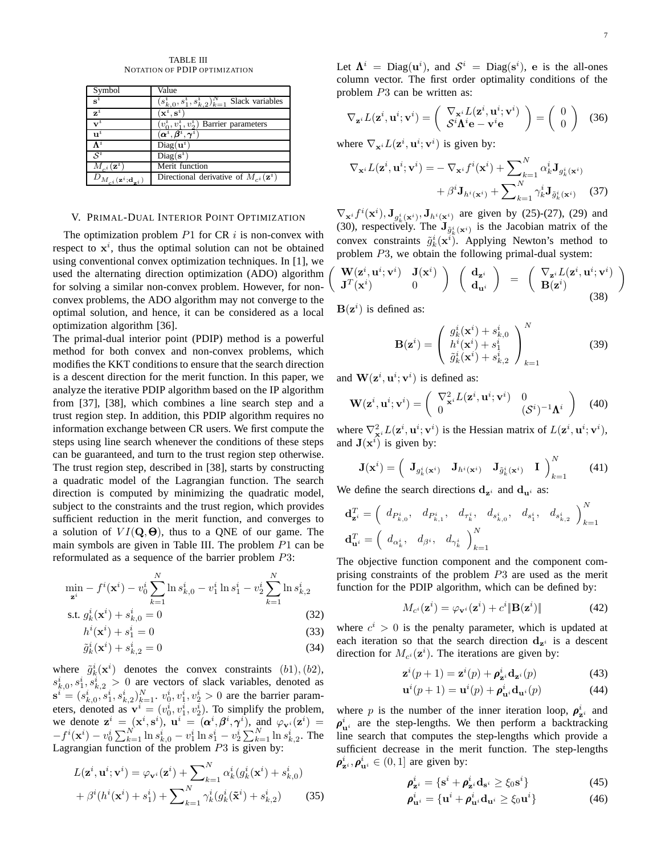TABLE III NOTATION OF PDIP OPTIMIZATION

| Symbol                                               | Value                                                          |
|------------------------------------------------------|----------------------------------------------------------------|
| $s^i$                                                | $(s_{k,0}^i, s_1^i, s_{k,2}^i)_{k=1}^N$ Slack variables        |
| $\mathbf{z}^i$                                       | $\mathbf{x}^i, \mathbf{s}^i$                                   |
|                                                      | Barrier parameters<br>$\cdot v_{\alpha}^{\iota}$<br>$v_0, v_1$ |
| $\mathbf{u}^i$                                       | $(\pmb{\alpha}^i, \pmb{\beta}^i, \pmb{\gamma}^i)$              |
| $\mathbf{A}^i$                                       | $Diag(u^i)$                                                    |
| $\overline{\mathcal{S}^i}$                           | $Diag(\mathbf{s}^i)$                                           |
| $M_{ci}(\mathbf{z}^i)$                               | Merit function                                                 |
| $D_{M_{,i}(\mathbf{z}^i;\mathbf{d}_{\mathbf{z}^i})}$ | Directional derivative of $M_{c,i}(\mathbf{z}^i)$              |

# V. PRIMAL-DUAL INTERIOR POINT OPTIMIZATION

The optimization problem  $P1$  for CR i is non-convex with respect to  $x^i$ , thus the optimal solution can not be obtained using conventional convex optimization techniques. In [1], we used the alternating direction optimization (ADO) algorithm for solving a similar non-convex problem. However, for nonconvex problems, the ADO algorithm may not converge to the optimal solution, and hence, it can be considered as a local optimization algorithm [36].

The primal-dual interior point (PDIP) method is a powerful method for both convex and non-convex problems, which modifies the KKT conditions to ensure that the search direction is a descent direction for the merit function. In this paper, we analyze the iterative PDIP algorithm based on the IP algorithm from [37], [38], which combines a line search step and a trust region step. In addition, this PDIP algorithm requires no information exchange between CR users. We first compute the steps using line search whenever the conditions of these steps can be guaranteed, and turn to the trust region step otherwise. The trust region step, described in [38], starts by constructing a quadratic model of the Lagrangian function. The search direction is computed by minimizing the quadratic model, subject to the constraints and the trust region, which provides sufficient reduction in the merit function, and converges to a solution of  $VI(Q, \Theta)$ , thus to a QNE of our game. The main symbols are given in Table III. The problem P1 can be reformulated as a sequence of the barrier problem P3:

$$
\min_{\mathbf{z}^{i}} - f^{i}(\mathbf{x}^{i}) - v_{0}^{i} \sum_{k=1}^{N} \ln s_{k,0}^{i} - v_{1}^{i} \ln s_{1}^{i} - v_{2}^{i} \sum_{k=1}^{N} \ln s_{k,2}^{i}
$$
\n
$$
\text{s.t. } g_{k}^{i}(\mathbf{x}^{i}) + s_{k,0}^{i} = 0 \tag{32}
$$

$$
y_k(\mathbf{x}) + s_{k,0} = 0
$$
\n
$$
y_k(\mathbf{x}) + s_{k,0} = 0
$$
\n
$$
(3.5)
$$

$$
h^i(\mathbf{x}^i) + s_1^i = 0\tag{33}
$$

$$
\tilde{g}_k^i(\mathbf{x}^i) + s_{k,2}^i = 0\tag{34}
$$

where  $\tilde{g}_k^i(\mathbf{x}^i)$  denotes the convex constraints  $(b1), (b2),$  $s_{k,0}^i, s_1^i, s_{k,2}^i > 0$  are vectors of slack variables, denoted as  $s^i = (s_{k,0}^i, s_1^i, s_{k,2}^i)_{k=1}^N$ .  $v_0^i, v_1^i, v_2^i > 0$  are the barrier parameters, denoted as  $\mathbf{v}^i = (v_0^i, v_1^i, v_2^i)$ . To simplify the problem, we denote  $\mathbf{z}^i = (\mathbf{x}^i, \mathbf{s}^i), \mathbf{u}^i = (\alpha^i, \beta^i, \gamma^i),$  and  $\varphi_{\mathbf{v}^i}(\mathbf{z}^i) =$  $-f^i({\bf x}^i)-v^i_0\sum_{k=1}^N\ln s_{k,0}^i-v^i_1\ln s^i_1-v^i_2\sum_{k=1}^N\ln s_{k,2}^i.$  The Lagrangian function of the problem  $P3$  is given by:

$$
L(\mathbf{z}^i, \mathbf{u}^i; \mathbf{v}^i) = \varphi_{\mathbf{v}^i}(\mathbf{z}^i) + \sum_{k=1}^N \alpha_k^i (g_k^i(\mathbf{x}^i) + s_{k,0}^i)
$$
  
+  $\beta^i (h^i(\mathbf{x}^i) + s_1^i) + \sum_{k=1}^N \gamma_k^i (g_k^i(\tilde{\mathbf{x}}^i) + s_{k,2}^i)$  (35)

Let  $\Lambda^i$  = Diag( $\mathbf{u}^i$ ), and  $\mathcal{S}^i$  = Diag( $\mathbf{s}^i$ ), e is the all-ones column vector. The first order optimality conditions of the problem P3 can be written as:

$$
\nabla_{\mathbf{z}^i} L(\mathbf{z}^i, \mathbf{u}^i; \mathbf{v}^i) = \begin{pmatrix} \nabla_{\mathbf{x}^i} L(\mathbf{z}^i, \mathbf{u}^i; \mathbf{v}^i) \\ \nabla^i \Lambda^i \mathbf{e} - \mathbf{v}^i \mathbf{e} \end{pmatrix} = \begin{pmatrix} 0 \\ 0 \end{pmatrix}
$$
 (36)

where  $\nabla_{\mathbf{x}^i} L(\mathbf{z}^i, \mathbf{u}^i; \mathbf{v}^i)$  is given by:

$$
\nabla_{\mathbf{x}^i} L(\mathbf{z}^i, \mathbf{u}^i; \mathbf{v}^i) = -\nabla_{\mathbf{x}^i} f^i(\mathbf{x}^i) + \sum_{k=1}^N \alpha_k^i \mathbf{J}_{g_k^i(\mathbf{x}^i)} + \beta^i \mathbf{J}_{h^i(\mathbf{x}^i)} + \sum_{k=1}^N \gamma_k^i \mathbf{J}_{\tilde{g}_k^i(\mathbf{x}^i)} \tag{37}
$$

 $\nabla_{\mathbf{x}^i} f^i(\mathbf{x}^i), \mathbf{J}_{g^i_{k}(\mathbf{x}^i)}, \mathbf{J}_{h^i(\mathbf{x}^i)}$  are given by (25)-(27), (29) and (30), respectively. The  $J_{\tilde{g}_k^i(\mathbf{x}^i)}$  is the Jacobian matrix of the convex constraints  $\tilde{g}_k^i(\mathbf{x}^i)$ . Applying Newton's method to problem P3, we obtain the following primal-dual system:

$$
\left(\begin{array}{cc}\n\mathbf{W}(\mathbf{z}^i, \mathbf{u}^i; \mathbf{v}^i) & \mathbf{J}(\mathbf{x}^i) \\
\mathbf{J}^T(\mathbf{x}^i) & 0\n\end{array}\right) \left(\begin{array}{c}\n\mathbf{d}_{\mathbf{z}^i} \\
\mathbf{d}_{\mathbf{u}^i}\n\end{array}\right) = \left(\begin{array}{c}\n\nabla_{\mathbf{z}^i} L(\mathbf{z}^i, \mathbf{u}^i; \mathbf{v}^i) \\
\mathbf{B}(\mathbf{z}^i)\n\end{array}\right)
$$
\n(38)

 $B(z<sup>i</sup>)$  is defined as:

$$
\mathbf{B}(\mathbf{z}^{i}) = \begin{pmatrix} g_{k}^{i}(\mathbf{x}^{i}) + s_{k,0}^{i} \\ h^{i}(\mathbf{x}^{i}) + s_{1}^{i} \\ \tilde{g}_{k}^{i}(\mathbf{x}^{i}) + s_{k,2}^{i} \end{pmatrix}_{k=1}^{N}
$$
(39)

and  $\mathbf{W}(\mathbf{z}^i, \mathbf{u}^i; \mathbf{v}^i)$  is defined as:

$$
\mathbf{W}(\mathbf{z}^i, \mathbf{u}^i; \mathbf{v}^i) = \begin{pmatrix} \nabla_{\mathbf{x}^i}^2 L(\mathbf{z}^i, \mathbf{u}^i; \mathbf{v}^i) & 0 \\ 0 & (\mathcal{S}^i)^{-1} \mathbf{\Lambda}^i \end{pmatrix} \tag{40}
$$

where  $\nabla_{\mathbf{x}^{i}}^{2} L(\mathbf{z}^{i}, \mathbf{u}^{i}; \mathbf{v}^{i})$  is the Hessian matrix of  $L(\mathbf{z}^{i}, \mathbf{u}^{i}; \mathbf{v}^{i}),$ and  $J(x^i)$  is given by:

$$
\mathbf{J}(\mathbf{x}^i) = \left(\begin{array}{cc} \mathbf{J}_{g_k^i(\mathbf{x}^i)} & \mathbf{J}_{h^i(\mathbf{x}^i)} & \mathbf{J}_{\tilde{g}_k^i(\mathbf{x}^i)} & \mathbf{I} \end{array}\right)_{k=1}^N \tag{41}
$$

We define the search directions  $\mathbf{d}_{\mathbf{z}^i}$  and  $\mathbf{d}_{\mathbf{u}^i}$  as:

$$
\mathbf{d}_{\mathbf{z}^{i}}^{T} = \left( d_{P_{k,0}^{i}} , d_{P_{k,1}^{i}} , d_{\tau_{k}^{i}} , d_{s_{k,0}^{i}} , d_{s_{1}^{i}} , d_{s_{k,2}^{i}} \right)_{k=1}^{N}
$$
  

$$
\mathbf{d}_{\mathbf{u}^{i}}^{T} = \left( d_{\alpha_{k}^{i}} , d_{\beta^{i}} , d_{\gamma_{k}^{i}} \right)_{k=1}^{N}
$$

The objective function component and the component comprising constraints of the problem P3 are used as the merit function for the PDIP algorithm, which can be defined by:

$$
M_{c^{i}}(\mathbf{z}^{i}) = \varphi_{\mathbf{v}^{i}}(\mathbf{z}^{i}) + c^{i} \|\mathbf{B}(\mathbf{z}^{i})\|
$$
 (42)

where  $c^i > 0$  is the penalty parameter, which is updated at each iteration so that the search direction  $d_{\mathbf{z}^i}$  is a descent direction for  $M_{c^{i}}(\mathbf{z}^{i})$ . The iterations are given by:

$$
\mathbf{z}^{i}(p+1) = \mathbf{z}^{i}(p) + \boldsymbol{\rho}_{\mathbf{z}^{i}}^{i} \mathbf{d}_{\mathbf{z}^{i}}(p)
$$
(43)

$$
\mathbf{u}^{i}(p+1) = \mathbf{u}^{i}(p) + \boldsymbol{\rho}_{\mathbf{u}^{i}}^{i} \mathbf{d}_{\mathbf{u}^{i}}(p)
$$
 (44)

where p is the number of the inner iteration loop,  $\rho_{\mathbf{z}^i}^i$  and  $\rho_{\mathbf{u}^i}^i$  are the step-lengths. We then perform a backtracking line search that computes the step-lengths which provide a sufficient decrease in the merit function. The step-lengths  $\rho_{\mathbf{z}^i}^i$ ,  $\rho_{\mathbf{u}^i}^i \in (0,1]$  are given by:

$$
\boldsymbol{\rho}_{\mathbf{z}^i}^i = \{ \mathbf{s}^i + \boldsymbol{\rho}_{\mathbf{z}^i}^i \mathbf{d}_{\mathbf{s}^i} \ge \xi_0 \mathbf{s}^i \} \tag{45}
$$

$$
\boldsymbol{\rho}_{\mathbf{u}^i}^i = {\mathbf{u}^i + \boldsymbol{\rho}_{\mathbf{u}^i}^i \mathbf{d}_{\mathbf{u}^i} \ge \xi_0 \mathbf{u}^i}
$$
 (46)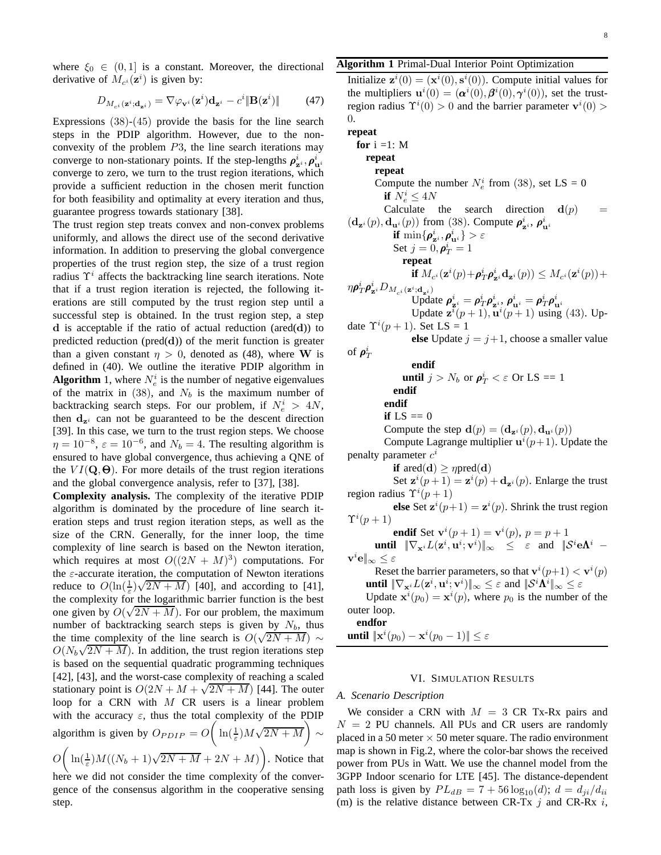where  $\xi_0 \in (0,1]$  is a constant. Moreover, the directional derivative of  $M_{c^{i}}(\mathbf{z}^{i})$  is given by:

$$
D_{M_{c^i}(\mathbf{z}^i; \mathbf{d}_{\mathbf{z}^i})} = \nabla \varphi_{\mathbf{v}^i}(\mathbf{z}^i) \mathbf{d}_{\mathbf{z}^i} - c^i \|\mathbf{B}(\mathbf{z}^i)\| \tag{47}
$$

Expressions (38)-(45) provide the basis for the line search steps in the PDIP algorithm. However, due to the nonconvexity of the problem  $P3$ , the line search iterations may converge to non-stationary points. If the step-lengths  $\rho_{\mathbf{z}^i}^i$ ,  $\rho_{\mathbf{u}^i}^i$ converge to zero, we turn to the trust region iterations, which provide a sufficient reduction in the chosen merit function for both feasibility and optimality at every iteration and thus, guarantee progress towards stationary [38].

The trust region step treats convex and non-convex problems uniformly, and allows the direct use of the second derivative information. In addition to preserving the global convergence properties of the trust region step, the size of a trust region radius  $\Upsilon^i$  affects the backtracking line search iterations. Note that if a trust region iteration is rejected, the following iterations are still computed by the trust region step until a successful step is obtained. In the trust region step, a step d is acceptable if the ratio of actual reduction (ared(d)) to predicted reduction ( $pred(d)$ ) of the merit function is greater than a given constant  $\eta > 0$ , denoted as (48), where W is defined in (40). We outline the iterative PDIP algorithm in **Algorithm** 1, where  $N_e^i$  is the number of negative eigenvalues of the matrix in  $(38)$ , and  $N_b$  is the maximum number of backtracking search steps. For our problem, if  $N_e^i > 4N$ , then  $\mathbf{d}_{\mathbf{z}^i}$  can not be guaranteed to be the descent direction [39]. In this case, we turn to the trust region steps. We choose  $\eta = 10^{-8}$ ,  $\varepsilon = 10^{-6}$ , and  $N_b = 4$ . The resulting algorithm is ensured to have global convergence, thus achieving a QNE of the  $VI(Q, \Theta)$ . For more details of the trust region iterations and the global convergence analysis, refer to [37], [38].

**Complexity analysis.** The complexity of the iterative PDIP algorithm is dominated by the procedure of line search iteration steps and trust region iteration steps, as well as the size of the CRN. Generally, for the inner loop, the time complexity of line search is based on the Newton iteration, which requires at most  $O((2N + M)^3)$  computations. For the  $\varepsilon$ -accurate iteration, the computation of Newton iterations reduce to  $O(\ln(\frac{1}{\epsilon})\sqrt{2N+M})$  [40], and according to [41], the complexity for the logarithmic barrier function is the best one given by  $O(\sqrt{2N+M})$ . For our problem, the maximum number of backtracking search steps is given by  $N_b$ , thus the time complexity of the line search is  $O(\sqrt{2N+M}) \sim$  $O(N_b\sqrt{2N+M})$ . In addition, the trust region iterations step is based on the sequential quadratic programming techniques [42], [43], and the worst-case complexity of reaching a scaled stationary point is  $O(2N + M + \sqrt{2N + M})$  [44]. The outer loop for a CRN with  $M$  CR users is a linear problem with the accuracy  $\varepsilon$ , thus the total complexity of the PDIP algorithm is given by  $O_{PDIP} = O\left(\ln(\frac{1}{\varepsilon})M\sqrt{2N+M}\right)$ ∼  $O\Big(\ln(\frac{1}{\varepsilon})M((N_b+1)\sqrt{2N+M}+2N+M)\Big)$ . Notice that here we did not consider the time complexity of the convergence of the consensus algorithm in the cooperative sensing step.

#### **Algorithm 1** Primal-Dual Interior Point Optimization

Initialize  $\mathbf{z}^{i}(0) = (\mathbf{x}^{i}(0), \mathbf{s}^{i}(0))$ . Compute initial values for the multipliers  $\mathbf{u}^{i}(0) = (\boldsymbol{\alpha}^{i}(0), \boldsymbol{\beta}^{i}(0), \boldsymbol{\gamma}^{i}(0))$ , set the trustregion radius  $\Upsilon^{i}(0) > 0$  and the barrier parameter  $v^{i}(0) > 0$ 0.

# **repeat**

| ιτριαι                                                                                                                                      |
|---------------------------------------------------------------------------------------------------------------------------------------------|
| for $i = 1$ : M                                                                                                                             |
| repeat                                                                                                                                      |
| repeat                                                                                                                                      |
| Compute the number $N_e^i$ from (38), set LS = 0                                                                                            |
| if $N_e^i \leq 4N$                                                                                                                          |
| $\mathbf{d}(p)$<br>Calculate the search direction                                                                                           |
| $(\mathbf{d}_{\mathbf{z}^i}(p), \mathbf{d}_{\mathbf{u}^i}(p))$ from (38). Compute $\rho_{\mathbf{z}^i}^i$ , $\rho_{\mathbf{u}^i}^i$         |
| if $\min\{\boldsymbol{\rho}_{zi}^i, \boldsymbol{\rho}_{\mathbf{u}^i}^i\} > \varepsilon$                                                     |
| Set $j = 0, p_T^i = 1$                                                                                                                      |
| repeat                                                                                                                                      |
| if $M_{c^i}(\mathbf{z}^i(p)+\boldsymbol{\rho}_T^i\boldsymbol{\rho}_{\sigma^i}^i\mathbf{d}_{\mathbf{z}^i}(p))\leq M_{c^i}(\mathbf{z}^i(p))+$ |
| $\eta \boldsymbol{\rho}_T^i \boldsymbol{\rho}_{\mathbf{z}^i}^i D_{M_{c^i}(\mathbf{z}^i;\mathbf{d}_{\mathbf{z}^i})}$                         |
| Update $\rho_{\mathbf{z}^i}^i = \rho_T^i \rho_{\mathbf{z}^i}^i$ , $\rho_{\mathbf{u}^i}^i = \rho_T^i \rho_{\mathbf{u}^i}^i$                  |
| Update $\mathbf{z}^{i}(p+1), \mathbf{u}^{i}(p+1)$ using (43). Up-                                                                           |
| date $\Upsilon^{i}(p+1)$ . Set LS = 1                                                                                                       |
|                                                                                                                                             |

**else** Update  $j = j+1$ , choose a smaller value of  $\boldsymbol{\rho}_T^i$ 

**endif until**  $j > N_b$  or  $\rho_T^i < \varepsilon$  Or LS == 1 **endif endif if**  $LS == 0$ Compute the step  $\mathbf{d}(p) = (\mathbf{d}_{\mathbf{z}^i}(p), \mathbf{d}_{\mathbf{u}^i}(p))$ 

Compute Lagrange multiplier  $\mathbf{u}^{i}(p+1)$ . Update the penalty parameter  $c^i$ 

**if** ared(**d**)  $\geq$  *n*pred(**d**)

Set  $\mathbf{z}^{i}(p+1) = \mathbf{z}^{i}(p) + \mathbf{d}_{\mathbf{z}^{i}}(p)$ . Enlarge the trust region radius  $\Upsilon^{i}(p+1)$ 

**else** Set  $\mathbf{z}^{i}(p+1) = \mathbf{z}^{i}(p)$ . Shrink the trust region  $\Upsilon^{i}(p+1)$ 

**endif** Set  $\mathbf{v}^i(p+1) = \mathbf{v}^i(p)$ ,  $p = p + 1$ **until**  $\|\nabla_{\mathbf{x}^i} L(\mathbf{z}^i, \mathbf{u}^i; \mathbf{v}^i)\|_{\infty} \leq \varepsilon$  and  $\|\mathcal{S}^i \mathbf{e} \mathbf{\Lambda}^i$  $\mathbf{v}^i\mathbf{e}\|_{\infty}\leq\varepsilon$ 

Reset the barrier parameters, so that  $\mathbf{v}^{i}(p+1) < \mathbf{v}^{i}(p)$ 

**until**  $\|\nabla_{\mathbf{x}^i} L(\mathbf{z}^i, \mathbf{u}^i; \mathbf{v}^i)\|_{\infty} \leq \varepsilon$  and  $\|\mathcal{S}^i \mathbf{\Lambda}^i\|_{\infty} \leq \varepsilon$ 

Update  $\mathbf{x}^{i}(p_0) = \mathbf{x}^{i}(p)$ , where  $p_0$  is the number of the outer loop.

**endfor**

**until**  $\|\mathbf{x}^i(p_0) - \mathbf{x}^i(p_0 - 1)\| \leq \varepsilon$ 

# VI. SIMULATION RESULTS

# *A. Scenario Description*

We consider a CRN with  $M = 3$  CR Tx-Rx pairs and  $N = 2$  PU channels. All PUs and CR users are randomly placed in a 50 meter  $\times$  50 meter square. The radio environment map is shown in Fig.2, where the color-bar shows the received power from PUs in Watt. We use the channel model from the 3GPP Indoor scenario for LTE [45]. The distance-dependent path loss is given by  $PL_{dB} = 7 + 56 \log_{10}(d)$ ;  $d = d_{ii}/d_{ii}$ (m) is the relative distance between CR-Tx  $j$  and CR-Rx  $i$ ,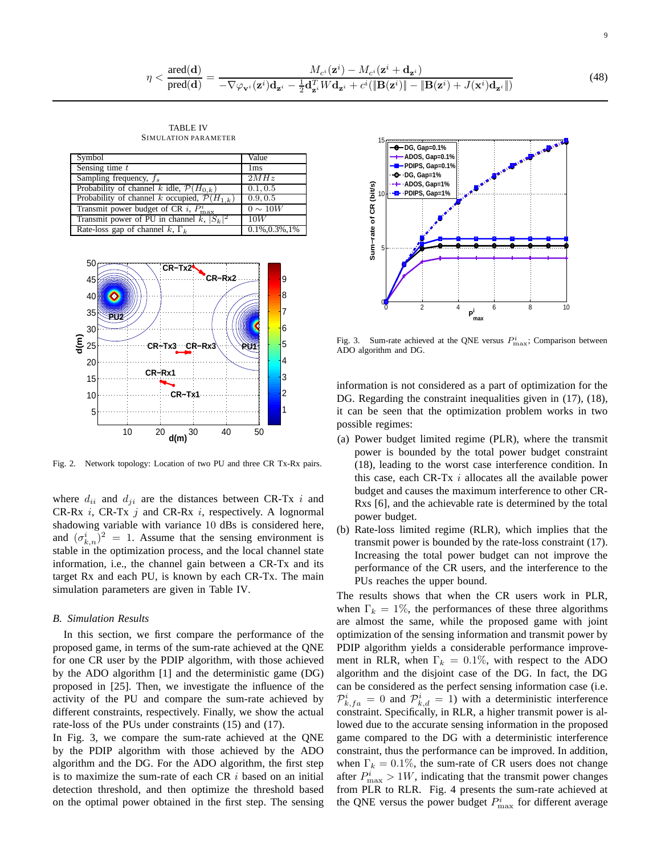$$
\eta < \frac{\text{ared}(\mathbf{d})}{\text{pred}(\mathbf{d})} = \frac{M_{c^i}(\mathbf{z}^i) - M_{c^i}(\mathbf{z}^i + \mathbf{d}_{\mathbf{z}^i})}{-\nabla \varphi_{\mathbf{v}^i}(\mathbf{z}^i)\mathbf{d}_{\mathbf{z}^i} - \frac{1}{2}\mathbf{d}_{\mathbf{z}^i}^T W \mathbf{d}_{\mathbf{z}^i} + c^i (\|\mathbf{B}(\mathbf{z}^i)\| - \|\mathbf{B}(\mathbf{z}^i) + J(\mathbf{x}^i)\mathbf{d}_{\mathbf{z}^i}\|)}\tag{48}
$$

TABLE IV SIMULATION PARAMETER

| Symbol                                                    | Value           |
|-----------------------------------------------------------|-----------------|
| Sensing time $t$                                          | 1 <sub>ms</sub> |
| Sampling frequency, $f_s$                                 | 2MHz            |
| Probability of channel k idle, $\mathcal{P}(H_{0,k})$     | 0.1, 0.5        |
| Probability of channel k occupied, $\mathcal{P}(H_{1,k})$ | 0.9, 0.5        |
| Transmit power budget of CR i, $P_{\text{max}}^i$         | $0 \sim 10W$    |
| Transmit power of PU in channel k, $ S_k ^2$              | 10W             |
| Rate-loss gap of channel k, $\Gamma_k$                    | 0.1%, 0.3%, 1%  |



Fig. 2. Network topology: Location of two PU and three CR Tx-Rx pairs.

where  $d_{ii}$  and  $d_{ii}$  are the distances between CR-Tx i and CR-Rx  $i$ , CR-Tx  $j$  and CR-Rx  $i$ , respectively. A lognormal shadowing variable with variance 10 dBs is considered here, and  $(\sigma_{k,n}^i)^2 = 1$ . Assume that the sensing environment is stable in the optimization process, and the local channel state information, i.e., the channel gain between a CR-Tx and its target Rx and each PU, is known by each CR-Tx. The main simulation parameters are given in Table IV.

# *B. Simulation Results*

In this section, we first compare the performance of the proposed game, in terms of the sum-rate achieved at the QNE for one CR user by the PDIP algorithm, with those achieved by the ADO algorithm [1] and the deterministic game (DG) proposed in [25]. Then, we investigate the influence of the activity of the PU and compare the sum-rate achieved by different constraints, respectively. Finally, we show the actual rate-loss of the PUs under constraints (15) and (17).

In Fig. 3, we compare the sum-rate achieved at the QNE by the PDIP algorithm with those achieved by the ADO algorithm and the DG. For the ADO algorithm, the first step is to maximize the sum-rate of each CR  $i$  based on an initial detection threshold, and then optimize the threshold based on the optimal power obtained in the first step. The sensing



Fig. 3. Sum-rate achieved at the QNE versus  $P_{\text{max}}^i$ ; Comparison between ADO algorithm and DG.

information is not considered as a part of optimization for the DG. Regarding the constraint inequalities given in  $(17)$ ,  $(18)$ , it can be seen that the optimization problem works in two possible regimes:

- (a) Power budget limited regime (PLR), where the transmit power is bounded by the total power budget constraint (18), leading to the worst case interference condition. In this case, each CR-Tx  $i$  allocates all the available power budget and causes the maximum interference to other CR-Rxs [6], and the achievable rate is determined by the total power budget.
- (b) Rate-loss limited regime (RLR), which implies that the transmit power is bounded by the rate-loss constraint (17). Increasing the total power budget can not improve the performance of the CR users, and the interference to the PUs reaches the upper bound.

The results shows that when the CR users work in PLR, when  $\Gamma_k = 1\%$ , the performances of these three algorithms are almost the same, while the proposed game with joint optimization of the sensing information and transmit power by PDIP algorithm yields a considerable performance improvement in RLR, when  $\Gamma_k = 0.1\%$ , with respect to the ADO algorithm and the disjoint case of the DG. In fact, the DG can be considered as the perfect sensing information case (i.e.  $\mathcal{P}^i_{k,f} = 0$  and  $\mathcal{P}^i_{k,d} = 1$ ) with a deterministic interference constraint. Specifically, in RLR, a higher transmit power is allowed due to the accurate sensing information in the proposed game compared to the DG with a deterministic interference constraint, thus the performance can be improved. In addition, when  $\Gamma_k = 0.1\%$ , the sum-rate of CR users does not change after  $P_{\text{max}}^i > 1$ *W*, indicating that the transmit power changes from PLR to RLR. Fig. 4 presents the sum-rate achieved at the QNE versus the power budget  $P_{\text{max}}^i$  for different average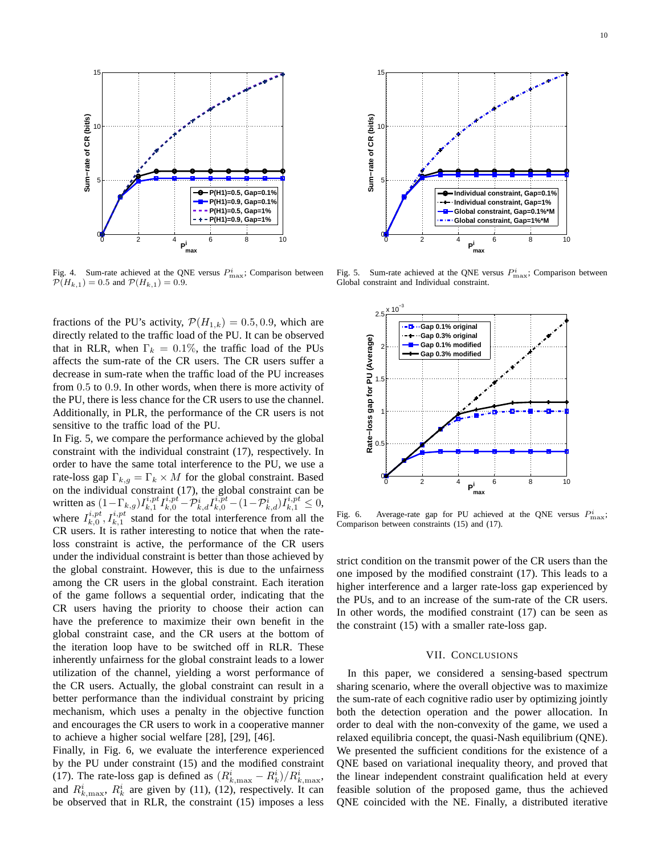

Fig. 4. Sum-rate achieved at the QNE versus  $P_{\text{max}}^i$ ; Comparison between  $\mathcal{P}(H_{k,1}) = 0.5$  and  $\mathcal{P}(H_{k,1}) = 0.9$ .

fractions of the PU's activity,  $\mathcal{P}(H_{1,k}) = 0.5, 0.9$ , which are directly related to the traffic load of the PU. It can be observed that in RLR, when  $\Gamma_k = 0.1\%$ , the traffic load of the PUs affects the sum-rate of the CR users. The CR users suffer a decrease in sum-rate when the traffic load of the PU increases from 0.5 to 0.9. In other words, when there is more activity of the PU, there is less chance for the CR users to use the channel. Additionally, in PLR, the performance of the CR users is not sensitive to the traffic load of the PU.

In Fig. 5, we compare the performance achieved by the global constraint with the individual constraint (17), respectively. In order to have the same total interference to the PU, we use a rate-loss gap  $\Gamma_{k,q} = \Gamma_k \times M$  for the global constraint. Based on the individual constraint (17), the global constraint can be written as  $(1-\Gamma_{k,g})I_{k,1}^{i,pt}I_{k,0}^{i,pt} - \mathcal{P}_{k,d}^iI_{k,0}^{i,pt} - (1-\mathcal{P}_{k,d}^i)I_{k,1}^{i,pt} \leq 0$ , where  $I_{k,0}^{i,pt}, I_{k,1}^{i,pt}$  stand for the total interference from all the CR users. It is rather interesting to notice that when the rateloss constraint is active, the performance of the CR users under the individual constraint is better than those achieved by the global constraint. However, this is due to the unfairness among the CR users in the global constraint. Each iteration of the game follows a sequential order, indicating that the CR users having the priority to choose their action can have the preference to maximize their own benefit in the global constraint case, and the CR users at the bottom of the iteration loop have to be switched off in RLR. These inherently unfairness for the global constraint leads to a lower utilization of the channel, yielding a worst performance of the CR users. Actually, the global constraint can result in a better performance than the individual constraint by pricing mechanism, which uses a penalty in the objective function and encourages the CR users to work in a cooperative manner to achieve a higher social welfare [28], [29], [46].

Finally, in Fig. 6, we evaluate the interference experienced by the PU under constraint (15) and the modified constraint (17). The rate-loss gap is defined as  $(R_{k,\text{max}}^i - R_k^i)/R_{k,\text{max}}^i$ , and  $R_{k,\text{max}}^i$ ,  $R_k^i$  are given by (11), (12), respectively. It can be observed that in RLR, the constraint (15) imposes a less



Fig. 5. Sum-rate achieved at the QNE versus  $P_{\text{max}}^i$ ; Comparison between Global constraint and Individual constraint.



Fig. 6. Average-rate gap for PU achieved at the QNE versus  $P_{\text{max}}^i$ ; Comparison between constraints (15) and (17).

strict condition on the transmit power of the CR users than the one imposed by the modified constraint (17). This leads to a higher interference and a larger rate-loss gap experienced by the PUs, and to an increase of the sum-rate of the CR users. In other words, the modified constraint (17) can be seen as the constraint (15) with a smaller rate-loss gap.

#### VII. CONCLUSIONS

In this paper, we considered a sensing-based spectrum sharing scenario, where the overall objective was to maximize the sum-rate of each cognitive radio user by optimizing jointly both the detection operation and the power allocation. In order to deal with the non-convexity of the game, we used a relaxed equilibria concept, the quasi-Nash equilibrium (QNE). We presented the sufficient conditions for the existence of a QNE based on variational inequality theory, and proved that the linear independent constraint qualification held at every feasible solution of the proposed game, thus the achieved QNE coincided with the NE. Finally, a distributed iterative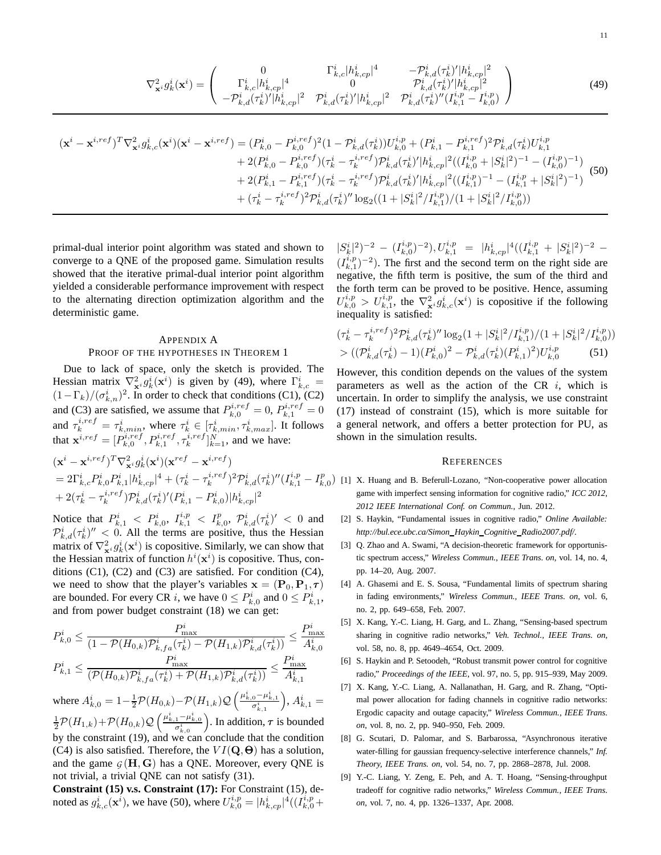$$
\nabla_{\mathbf{x}^{i}}^{2} g_{k}^{i}(\mathbf{x}^{i}) = \begin{pmatrix}\n0 & \Gamma_{k,c}^{i} |h_{k,cp}^{i}|^{4} & -\mathcal{P}_{k,d}^{i} (\tau_{k}^{i})' |h_{k,cp}^{i}|^{2} \\
\Gamma_{k,c}^{i} |h_{k,cp}^{i}|^{4} & 0 & \mathcal{P}_{k,d}^{i} (\tau_{k}^{i})' |h_{k,cp}^{i}|^{2} \\
-\mathcal{P}_{k,d}^{i} (\tau_{k}^{i})' |h_{k,cp}^{i}|^{2} & \mathcal{P}_{k,d}^{i} (\tau_{k}^{i})' |h_{k,cp}^{i}|^{2} & \mathcal{P}_{k,d}^{i} (\tau_{k}^{i})'' (I_{k,1}^{i,p} - I_{k,0}^{i,p})\n\end{pmatrix}
$$
\n(49)

$$
(\mathbf{x}^{i} - \mathbf{x}^{i,ref})^{T} \nabla_{\mathbf{x}^{i}}^{2} g_{k,c}^{i}(\mathbf{x}^{i})(\mathbf{x}^{i} - \mathbf{x}^{i,ref}) = (P_{k,0}^{i} - P_{k,0}^{i,ref})^{2} (1 - P_{k,d}^{i}(\tau_{k}^{i})) U_{k,0}^{i,p} + (P_{k,1}^{i} - P_{k,1}^{i,ref})^{2} P_{k,d}^{i}(\tau_{k}^{i}) U_{k,1}^{i,p} + 2(P_{k,0}^{i} - P_{k,0}^{i,ref}) (\tau_{k}^{i} - \tau_{k}^{i,ref}) P_{k,d}^{i}(\tau_{k}^{i})' |h_{k,cp}^{i}|^{2} ((I_{k,0}^{i,p} + |S_{k}^{i}|^{2})^{-1} - (I_{k,0}^{i,p})^{-1}) + 2(P_{k,1}^{i} - P_{k,1}^{i,ref}) (\tau_{k}^{i} - \tau_{k}^{i,ref}) P_{k,d}^{i}(\tau_{k}^{i})' |h_{k,cp}^{i}|^{2} ((I_{k,1}^{i,p})^{-1} - (I_{k,1}^{i,p} + |S_{k}^{i}|^{2})^{-1}) + (\tau_{k}^{i} - \tau_{k}^{i,ref})^{2} P_{k,d}^{i}(\tau_{k}^{i})' \log_{2}((1 + |S_{k}^{i}|^{2}/I_{k,1}^{i,p})/(1 + |S_{k}^{i}|^{2}/I_{k,0}^{i,p}))
$$
\n(50)

primal-dual interior point algorithm was stated and shown to converge to a QNE of the proposed game. Simulation results showed that the iterative primal-dual interior point algorithm yielded a considerable performance improvement with respect to the alternating direction optimization algorithm and the deterministic game.

# APPENDIX A

#### PROOF OF THE HYPOTHESES IN THEOREM 1

Due to lack of space, only the sketch is provided. The Hessian matrix  $\nabla^2_{\mathbf{x}^i} g_k^i(\mathbf{x}^i)$  is given by (49), where  $\Gamma^i_{k,c}$  =  $(1-\Gamma_k)/(\sigma_{k,n}^i)^2$ . In order to check that conditions (C1), (C2) and (C3) are satisfied, we assume that  $P_{k,0}^{i,ref} = 0$ ,  $P_{k,1}^{i,ref} = 0$ and  $\tau_k^{i,ref} = \tau_{k,min}^i$ , where  $\tau_k^i \in [\tau_{k,min}^i, \tau_{k,max}^i]$ . It follows that  $\mathbf{x}^{i, ref} = [P_{k,0}^{i, ref}, P_{k,1}^{i, ref}, \tau_k^{i, ref}]_{k=1}^N$ , and we have:

$$
\begin{split} & (\mathbf{x}^i - \mathbf{x}^{i, ref})^T \nabla^2_{\mathbf{x}^i} g_k^i(\mathbf{x}^i) (\mathbf{x}^{ref} - \mathbf{x}^{i, ref}) \\ & = 2\Gamma_{k,c}^i P_{k,0}^i P_{k,1}^i |h_{k,cp}^i|^4 + (\tau_k^i - \tau_k^{i, ref})^2 \mathcal{P}_{k,d}^i(\tau_k^i)'' (I_{k,1}^{i,p} - I_{k,0}^p) \\ & + 2(\tau_k^i - \tau_k^{i, ref}) \mathcal{P}_{k,d}^i(\tau_k^i)' (P_{k,1}^i - P_{k,0}^i) |h_{k,cp}^i|^2 \end{split}
$$

Notice that  $P_{k,1}^i < P_{k,0}^i$ ,  $I_{k,1}^{i,p} < I_{k,0}^p$ ,  $\mathcal{P}_{k,d}^i(\tau_k^i)' < 0$  and  $\mathcal{P}^i_{k,d}(\tau^i_k)'' < 0$ . All the terms are positive, thus the Hessian matrix of  $\nabla^2_{\mathbf{x}^i} g^i_k(\mathbf{x}^i)$  is copositive. Similarly, we can show that the Hessian matrix of function  $h^{i}(\mathbf{x}^{i})$  is copositive. Thus, conditions  $(C1)$ ,  $(C2)$  and  $(C3)$  are satisfied. For condition  $(C4)$ , we need to show that the player's variables  $\mathbf{x} = (\mathbf{P}_0, \mathbf{P}_1, \tau)$ are bounded. For every CR *i*, we have  $0 \le P_{k,0}^i$  and  $0 \le P_{k,1}^i$ , and from power budget constraint (18) we can get:

$$
P_{k,0}^i \le \frac{P_{\text{max}}^i}{(1 - \mathcal{P}(H_{0,k})\mathcal{P}_{k,fa}^i(\tau_k^i) - \mathcal{P}(H_{1,k})\mathcal{P}_{k,d}^i(\tau_k^i))} \le \frac{P_{\text{max}}^i}{A_{k,0}^i}
$$

$$
P_{k,1}^i \le \frac{P_{\text{max}}^i}{(\mathcal{P}(H_{0,k})\mathcal{P}_{k,fa}^i(\tau_k^i) + \mathcal{P}(H_{1,k})\mathcal{P}_{k,d}^i(\tau_k^i))} \le \frac{P_{\text{max}}^i}{A_{k,1}^i}
$$

where  $A^i_{k,0}=1-\frac{1}{2}\mathcal{P}(H_{0,k})\!-\!\mathcal{P}(H_{1,k})\mathcal{Q}\left(\frac{\mu^i_{k,0}-\mu^i_{k,1}}{\sigma^i_{k,1}}\right)$  $\Big), A_{k,1}^i =$  $\frac{1}{2} \mathcal{P}(H_{1,k}) \!+\! \mathcal{P}(H_{0,k}) \mathcal{Q} \left( \frac{\mu_{k,1}^i - \mu_{k,0}^i}{\sigma_{k,0}^i} \right)$ ). In addition,  $\tau$  is bounded by the constraint (19), and we can conclude that the condition (C4) is also satisfied. Therefore, the  $VI(\mathbf{Q}, \mathbf{\Theta})$  has a solution, and the game  $G(H, G)$  has a QNE. Moreover, every QNE is not trivial, a trivial QNE can not satisfy (31).

**Constraint (15) v.s. Constraint (17):** For Constraint (15), denoted as  $g_{k,c}^i(\mathbf{x}^i)$ , we have (50), where  $U_{k,0}^{i,p} = |h_{k,cp}^i|^4 ((I_{k,0}^{i,p} + I_{k,cp}^{i,q}))$ 

 $|S^i_k|^2)^{-2}\ -\ (I^{i,p}_{k,0})^{-2}),\\ U^{i,p}_{k,1}\ =\ |h^{i}_{k,cp}|^4((I^{i,p}_{k,1} \ +\ |S^i_k|^2)^{-2}\ -\$  $(I_{k,1}^{i,p})^{-2}$ ). The first and the second term on the right side are negative, the fifth term is positive, the sum of the third and the forth term can be proved to be positive. Hence, assuming  $U_{k,0}^{i,p} > U_{k,1}^{i,p}$ , the  $\nabla_{\mathbf{x}^i}^2 g_{k,c}^i(\mathbf{x}^i)$  is copositive if the following inequality is satisfied:

$$
(\tau_k^i - \tau_k^{i, ref})^2 \mathcal{P}_{k,d}^i(\tau_k^i)'' \log_2(1 + |S_k^i|^2 / I_{k,1}^{i,p}) / (1 + |S_k^i|^2 / I_{k,0}^{i,p})
$$
  
> 
$$
((\mathcal{P}_{k,d}^i(\tau_k^i) - 1)(P_{k,0}^i)^2 - \mathcal{P}_{k,d}^i(\tau_k^i)(P_{k,1}^i)^2) U_{k,0}^{i,p}
$$
(51)

However, this condition depends on the values of the system parameters as well as the action of the CR  $i$ , which is uncertain. In order to simplify the analysis, we use constraint (17) instead of constraint (15), which is more suitable for a general network, and offers a better protection for PU, as shown in the simulation results.

#### **REFERENCES**

- [1] X. Huang and B. Beferull-Lozano, "Non-cooperative power allocation game with imperfect sensing information for cognitive radio," *ICC 2012, 2012 IEEE International Conf. on Commun.*, Jun. 2012.
- [2] S. Haykin, "Fundamental issues in cognitive radio," *Online Available: http://bul.ece.ubc.ca/Simon Haykin Cognitive Radio2007.pdf/*.
- [3] Q. Zhao and A. Swami, "A decision-theoretic framework for opportunistic spectrum access," *Wireless Commun., IEEE Trans. on*, vol. 14, no. 4, pp. 14–20, Aug. 2007.
- [4] A. Ghasemi and E. S. Sousa, "Fundamental limits of spectrum sharing in fading environments," *Wireless Commun., IEEE Trans. on*, vol. 6, no. 2, pp. 649–658, Feb. 2007.
- [5] X. Kang, Y.-C. Liang, H. Garg, and L. Zhang, "Sensing-based spectrum sharing in cognitive radio networks," *Veh. Technol., IEEE Trans. on*, vol. 58, no. 8, pp. 4649–4654, Oct. 2009.
- [6] S. Haykin and P. Setoodeh, "Robust transmit power control for cognitive radio," *Proceedings of the IEEE*, vol. 97, no. 5, pp. 915–939, May 2009.
- [7] X. Kang, Y.-C. Liang, A. Nallanathan, H. Garg, and R. Zhang, "Optimal power allocation for fading channels in cognitive radio networks: Ergodic capacity and outage capacity," *Wireless Commun., IEEE Trans. on*, vol. 8, no. 2, pp. 940–950, Feb. 2009.
- [8] G. Scutari, D. Palomar, and S. Barbarossa, "Asynchronous iterative water-filling for gaussian frequency-selective interference channels," *Inf. Theory, IEEE Trans. on*, vol. 54, no. 7, pp. 2868–2878, Jul. 2008.
- [9] Y.-C. Liang, Y. Zeng, E. Peh, and A. T. Hoang, "Sensing-throughput tradeoff for cognitive radio networks," *Wireless Commun., IEEE Trans. on*, vol. 7, no. 4, pp. 1326–1337, Apr. 2008.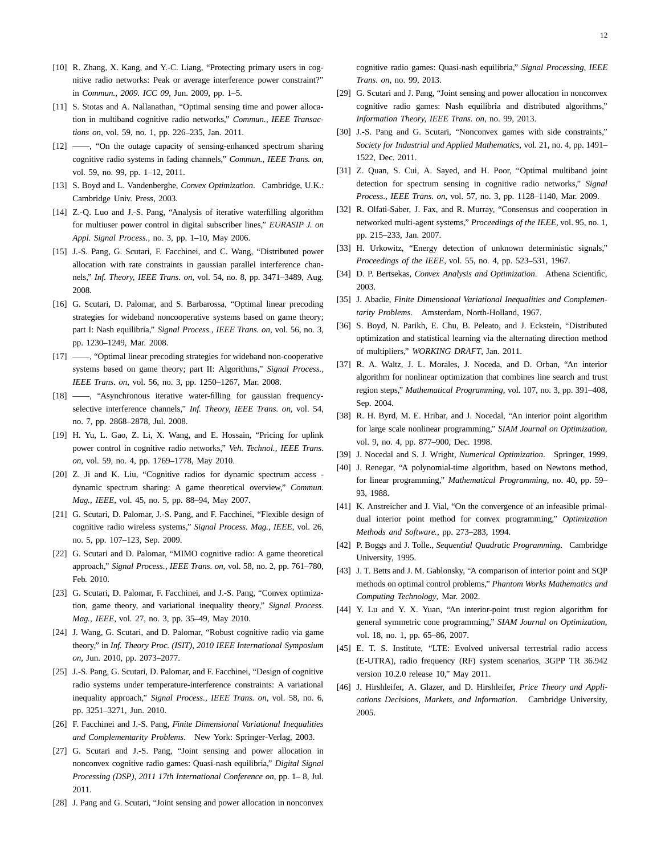- [10] R. Zhang, X. Kang, and Y.-C. Liang, "Protecting primary users in cognitive radio networks: Peak or average interference power constraint?" in *Commun., 2009. ICC 09*, Jun. 2009, pp. 1–5.
- [11] S. Stotas and A. Nallanathan, "Optimal sensing time and power allocation in multiband cognitive radio networks," *Commun., IEEE Transactions on*, vol. 59, no. 1, pp. 226–235, Jan. 2011.
- [12] ——, "On the outage capacity of sensing-enhanced spectrum sharing cognitive radio systems in fading channels," *Commun., IEEE Trans. on*, vol. 59, no. 99, pp. 1-12, 2011.
- [13] S. Boyd and L. Vandenberghe, *Convex Optimization*. Cambridge, U.K.: Cambridge Univ. Press, 2003.
- [14] Z.-Q. Luo and J.-S. Pang, "Analysis of iterative waterfilling algorithm for multiuser power control in digital subscriber lines," *EURASIP J. on Appl. Signal Process.*, no. 3, pp. 1–10, May 2006.
- [15] J.-S. Pang, G. Scutari, F. Facchinei, and C. Wang, "Distributed power allocation with rate constraints in gaussian parallel interference channels," *Inf. Theory, IEEE Trans. on*, vol. 54, no. 8, pp. 3471–3489, Aug. 2008.
- [16] G. Scutari, D. Palomar, and S. Barbarossa, "Optimal linear precoding strategies for wideband noncooperative systems based on game theory; part I: Nash equilibria," *Signal Process., IEEE Trans. on*, vol. 56, no. 3, pp. 1230–1249, Mar. 2008.
- [17] -, "Optimal linear precoding strategies for wideband non-cooperative systems based on game theory; part II: Algorithms," *Signal Process., IEEE Trans. on*, vol. 56, no. 3, pp. 1250–1267, Mar. 2008.
- [18] ——, "Asynchronous iterative water-filling for gaussian frequencyselective interference channels," *Inf. Theory, IEEE Trans. on*, vol. 54, no. 7, pp. 2868–2878, Jul. 2008.
- [19] H. Yu, L. Gao, Z. Li, X. Wang, and E. Hossain, "Pricing for uplink power control in cognitive radio networks," *Veh. Technol., IEEE Trans. on*, vol. 59, no. 4, pp. 1769–1778, May 2010.
- [20] Z. Ji and K. Liu, "Cognitive radios for dynamic spectrum access dynamic spectrum sharing: A game theoretical overview," *Commun. Mag., IEEE*, vol. 45, no. 5, pp. 88–94, May 2007.
- [21] G. Scutari, D. Palomar, J.-S. Pang, and F. Facchinei, "Flexible design of cognitive radio wireless systems," *Signal Process. Mag., IEEE*, vol. 26, no. 5, pp. 107–123, Sep. 2009.
- [22] G. Scutari and D. Palomar, "MIMO cognitive radio: A game theoretical approach," *Signal Process., IEEE Trans. on*, vol. 58, no. 2, pp. 761–780, Feb. 2010.
- [23] G. Scutari, D. Palomar, F. Facchinei, and J.-S. Pang, "Convex optimization, game theory, and variational inequality theory," *Signal Process. Mag., IEEE*, vol. 27, no. 3, pp. 35–49, May 2010.
- [24] J. Wang, G. Scutari, and D. Palomar, "Robust cognitive radio via game theory," in *Inf. Theory Proc. (ISIT), 2010 IEEE International Symposium on*, Jun. 2010, pp. 2073–2077.
- [25] J.-S. Pang, G. Scutari, D. Palomar, and F. Facchinei, "Design of cognitive radio systems under temperature-interference constraints: A variational inequality approach," *Signal Process., IEEE Trans. on*, vol. 58, no. 6, pp. 3251–3271, Jun. 2010.
- [26] F. Facchinei and J.-S. Pang, *Finite Dimensional Variational Inequalities and Complementarity Problems*. New York: Springer-Verlag, 2003.
- [27] G. Scutari and J.-S. Pang, "Joint sensing and power allocation in nonconvex cognitive radio games: Quasi-nash equilibria," *Digital Signal Processing (DSP), 2011 17th International Conference on*, pp. 1– 8, Jul. 2011.
- [28] J. Pang and G. Scutari, "Joint sensing and power allocation in nonconvex

cognitive radio games: Quasi-nash equilibria," *Signal Processing, IEEE Trans. on*, no. 99, 2013.

- [29] G. Scutari and J. Pang, "Joint sensing and power allocation in nonconvex cognitive radio games: Nash equilibria and distributed algorithms," *Information Theory, IEEE Trans. on*, no. 99, 2013.
- [30] J.-S. Pang and G. Scutari, "Nonconvex games with side constraints," *Society for Industrial and Applied Mathematics*, vol. 21, no. 4, pp. 1491– 1522, Dec. 2011.
- [31] Z. Quan, S. Cui, A. Sayed, and H. Poor, "Optimal multiband joint detection for spectrum sensing in cognitive radio networks," *Signal Process., IEEE Trans. on*, vol. 57, no. 3, pp. 1128–1140, Mar. 2009.
- [32] R. Olfati-Saber, J. Fax, and R. Murray, "Consensus and cooperation in networked multi-agent systems," *Proceedings of the IEEE*, vol. 95, no. 1, pp. 215–233, Jan. 2007.
- [33] H. Urkowitz, "Energy detection of unknown deterministic signals," *Proceedings of the IEEE*, vol. 55, no. 4, pp. 523–531, 1967.
- [34] D. P. Bertsekas, *Convex Analysis and Optimization*. Athena Scientific, 2003.
- [35] J. Abadie, *Finite Dimensional Variational Inequalities and Complementarity Problems*. Amsterdam, North-Holland, 1967.
- [36] S. Boyd, N. Parikh, E. Chu, B. Peleato, and J. Eckstein, "Distributed optimization and statistical learning via the alternating direction method of multipliers," *WORKING DRAFT*, Jan. 2011.
- [37] R. A. Waltz, J. L. Morales, J. Noceda, and D. Orban, "An interior algorithm for nonlinear optimization that combines line search and trust region steps," *Mathematical Programming*, vol. 107, no. 3, pp. 391–408, Sep. 2004.
- [38] R. H. Byrd, M. E. Hribar, and J. Nocedal, "An interior point algorithm for large scale nonlinear programming," *SIAM Journal on Optimization*, vol. 9, no. 4, pp. 877–900, Dec. 1998.
- [39] J. Nocedal and S. J. Wright, *Numerical Optimization*. Springer, 1999.
- [40] J. Renegar, "A polynomial-time algorithm, based on Newtons method, for linear programming," *Mathematical Programming*, no. 40, pp. 59– 93, 1988.
- [41] K. Anstreicher and J. Vial, "On the convergence of an infeasible primaldual interior point method for convex programming," *Optimization Methods and Software.*, pp. 273–283, 1994.
- [42] P. Boggs and J. Tolle., *Sequential Quadratic Programming*. Cambridge University, 1995.
- [43] J. T. Betts and J. M. Gablonsky, "A comparison of interior point and SOP methods on optimal control problems," *Phantom Works Mathematics and Computing Technology*, Mar. 2002.
- [44] Y. Lu and Y. X. Yuan, "An interior-point trust region algorithm for general symmetric cone programming," *SIAM Journal on Optimization*, vol. 18, no. 1, pp. 65–86, 2007.
- [45] E. T. S. Institute, "LTE: Evolved universal terrestrial radio access (E-UTRA), radio frequency (RF) system scenarios, 3GPP TR 36.942 version 10.2.0 release 10," May 2011.
- [46] J. Hirshleifer, A. Glazer, and D. Hirshleifer, *Price Theory and Applications Decisions, Markets, and Information*. Cambridge University, 2005.